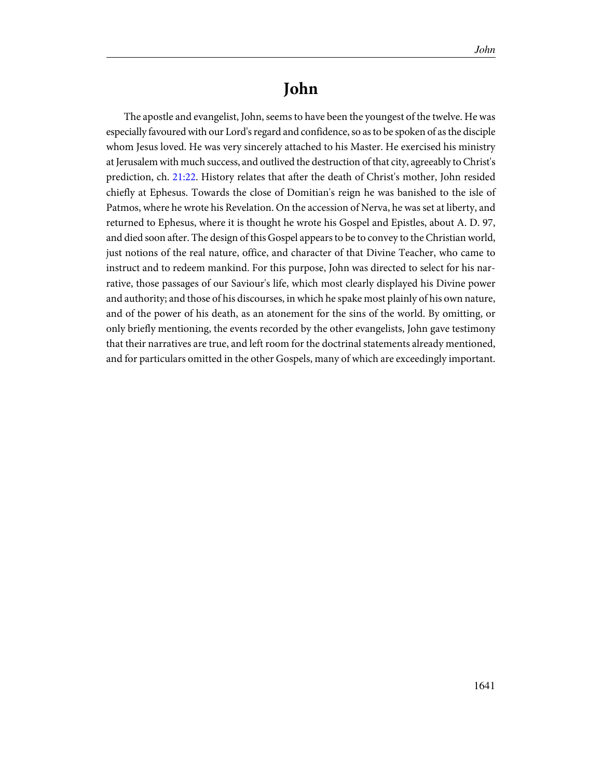# **John**

The apostle and evangelist, John, seems to have been the youngest of the twelve. He was especially favoured with our Lord's regard and confidence, so as to be spoken of as the disciple whom Jesus loved. He was very sincerely attached to his Master. He exercised his ministry at Jerusalem with much success, and outlived the destruction of that city, agreeably to Christ's prediction, ch. [21:22](http://www.ccel.org/study/Bible:John.21.22). History relates that after the death of Christ's mother, John resided chiefly at Ephesus. Towards the close of Domitian's reign he was banished to the isle of Patmos, where he wrote his Revelation. On the accession of Nerva, he was set at liberty, and returned to Ephesus, where it is thought he wrote his Gospel and Epistles, about A. D. 97, and died soon after. The design of this Gospel appears to be to convey to the Christian world, just notions of the real nature, office, and character of that Divine Teacher, who came to instruct and to redeem mankind. For this purpose, John was directed to select for his narrative, those passages of our Saviour's life, which most clearly displayed his Divine power and authority; and those of his discourses, in which he spake most plainly of his own nature, and of the power of his death, as an atonement for the sins of the world. By omitting, or only briefly mentioning, the events recorded by the other evangelists, John gave testimony that their narratives are true, and left room for the doctrinal statements already mentioned, and for particulars omitted in the other Gospels, many of which are exceedingly important.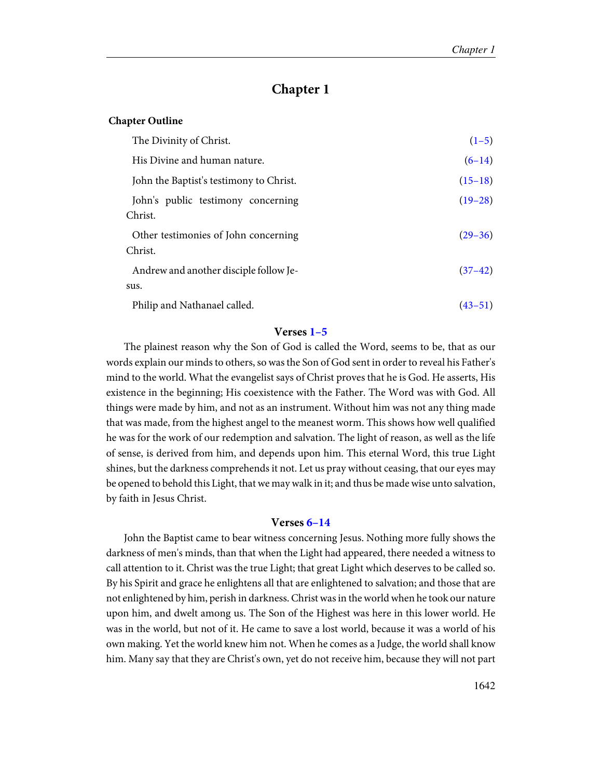#### **Chapter Outline**

| The Divinity of Christ.                         | $(1-5)$     |
|-------------------------------------------------|-------------|
| His Divine and human nature.                    | $(6-14)$    |
| John the Baptist's testimony to Christ.         | $(15-18)$   |
| John's public testimony concerning<br>Christ.   | $(19-28)$   |
| Other testimonies of John concerning<br>Christ. | $(29 - 36)$ |
| Andrew and another disciple follow Je-          | $(37-42)$   |
| sus.                                            |             |
| Philip and Nathanael called.                    | $(43 - 51)$ |

### **Verses [1–5](http://www.ccel.org/study/Bible:John.1.1-John.1.5)**

The plainest reason why the Son of God is called the Word, seems to be, that as our words explain our minds to others, so was the Son of God sent in order to reveal his Father's mind to the world. What the evangelist says of Christ proves that he is God. He asserts, His existence in the beginning; His coexistence with the Father. The Word was with God. All things were made by him, and not as an instrument. Without him was not any thing made that was made, from the highest angel to the meanest worm. This shows how well qualified he was for the work of our redemption and salvation. The light of reason, as well as the life of sense, is derived from him, and depends upon him. This eternal Word, this true Light shines, but the darkness comprehends it not. Let us pray without ceasing, that our eyes may be opened to behold this Light, that we may walk in it; and thus be made wise unto salvation, by faith in Jesus Christ.

#### **Verses [6–14](http://www.ccel.org/study/Bible:John.1.6-John.1.14)**

John the Baptist came to bear witness concerning Jesus. Nothing more fully shows the darkness of men's minds, than that when the Light had appeared, there needed a witness to call attention to it. Christ was the true Light; that great Light which deserves to be called so. By his Spirit and grace he enlightens all that are enlightened to salvation; and those that are not enlightened by him, perish in darkness. Christ was in the world when he took our nature upon him, and dwelt among us. The Son of the Highest was here in this lower world. He was in the world, but not of it. He came to save a lost world, because it was a world of his own making. Yet the world knew him not. When he comes as a Judge, the world shall know him. Many say that they are Christ's own, yet do not receive him, because they will not part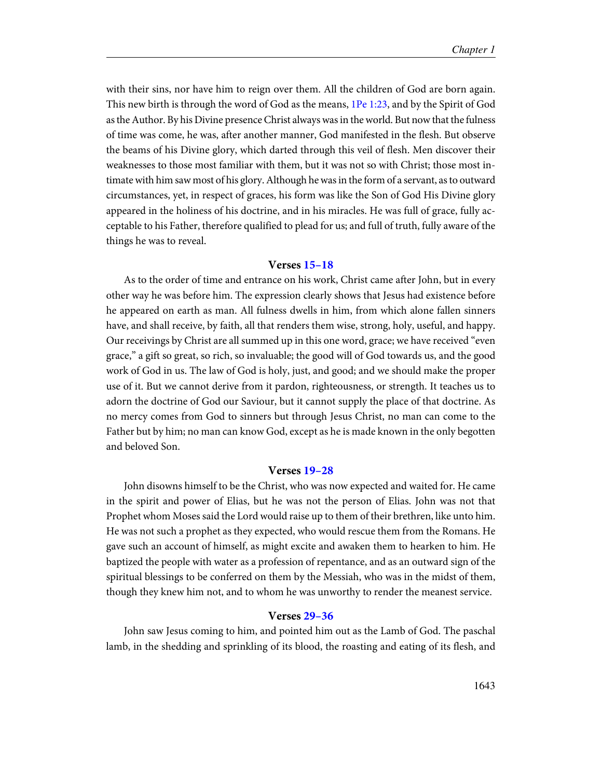with their sins, nor have him to reign over them. All the children of God are born again. This new birth is through the word of God as the means, [1Pe 1:23,](http://www.ccel.org/study/Bible:1Pet.1.23) and by the Spirit of God as the Author. By his Divine presence Christ always was in the world. But now that the fulness of time was come, he was, after another manner, God manifested in the flesh. But observe the beams of his Divine glory, which darted through this veil of flesh. Men discover their weaknesses to those most familiar with them, but it was not so with Christ; those most intimate with him saw most of his glory. Although he was in the form of a servant, as to outward circumstances, yet, in respect of graces, his form was like the Son of God His Divine glory appeared in the holiness of his doctrine, and in his miracles. He was full of grace, fully acceptable to his Father, therefore qualified to plead for us; and full of truth, fully aware of the things he was to reveal.

# **Verses [15–18](http://www.ccel.org/study/Bible:John.1.15-John.1.18)**

As to the order of time and entrance on his work, Christ came after John, but in every other way he was before him. The expression clearly shows that Jesus had existence before he appeared on earth as man. All fulness dwells in him, from which alone fallen sinners have, and shall receive, by faith, all that renders them wise, strong, holy, useful, and happy. Our receivings by Christ are all summed up in this one word, grace; we have received "even grace," a gift so great, so rich, so invaluable; the good will of God towards us, and the good work of God in us. The law of God is holy, just, and good; and we should make the proper use of it. But we cannot derive from it pardon, righteousness, or strength. It teaches us to adorn the doctrine of God our Saviour, but it cannot supply the place of that doctrine. As no mercy comes from God to sinners but through Jesus Christ, no man can come to the Father but by him; no man can know God, except as he is made known in the only begotten and beloved Son.

## **Verses [19–28](http://www.ccel.org/study/Bible:John.1.19-John.1.28)**

John disowns himself to be the Christ, who was now expected and waited for. He came in the spirit and power of Elias, but he was not the person of Elias. John was not that Prophet whom Moses said the Lord would raise up to them of their brethren, like unto him. He was not such a prophet as they expected, who would rescue them from the Romans. He gave such an account of himself, as might excite and awaken them to hearken to him. He baptized the people with water as a profession of repentance, and as an outward sign of the spiritual blessings to be conferred on them by the Messiah, who was in the midst of them, though they knew him not, and to whom he was unworthy to render the meanest service.

#### **Verses [29–36](http://www.ccel.org/study/Bible:John.1.29-John.1.36)**

John saw Jesus coming to him, and pointed him out as the Lamb of God. The paschal lamb, in the shedding and sprinkling of its blood, the roasting and eating of its flesh, and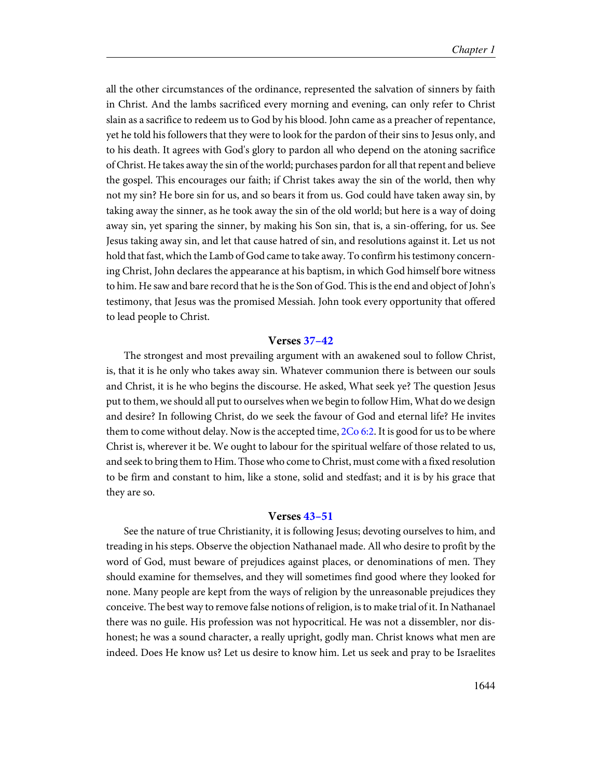all the other circumstances of the ordinance, represented the salvation of sinners by faith in Christ. And the lambs sacrificed every morning and evening, can only refer to Christ slain as a sacrifice to redeem us to God by his blood. John came as a preacher of repentance, yet he told his followers that they were to look for the pardon of their sins to Jesus only, and to his death. It agrees with God's glory to pardon all who depend on the atoning sacrifice of Christ. He takes away the sin of the world; purchases pardon for all that repent and believe the gospel. This encourages our faith; if Christ takes away the sin of the world, then why not my sin? He bore sin for us, and so bears it from us. God could have taken away sin, by taking away the sinner, as he took away the sin of the old world; but here is a way of doing away sin, yet sparing the sinner, by making his Son sin, that is, a sin-offering, for us. See Jesus taking away sin, and let that cause hatred of sin, and resolutions against it. Let us not hold that fast, which the Lamb of God came to take away. To confirm his testimony concerning Christ, John declares the appearance at his baptism, in which God himself bore witness to him. He saw and bare record that he is the Son of God. This is the end and object of John's testimony, that Jesus was the promised Messiah. John took every opportunity that offered to lead people to Christ.

# **Verses [37–42](http://www.ccel.org/study/Bible:John.1.37-John.1.42)**

The strongest and most prevailing argument with an awakened soul to follow Christ, is, that it is he only who takes away sin. Whatever communion there is between our souls and Christ, it is he who begins the discourse. He asked, What seek ye? The question Jesus put to them, we should all put to ourselves when we begin to follow Him, What do we design and desire? In following Christ, do we seek the favour of God and eternal life? He invites them to come without delay. Now is the accepted time, [2Co 6:2](http://www.ccel.org/study/Bible:2Cor.6.2). It is good for us to be where Christ is, wherever it be. We ought to labour for the spiritual welfare of those related to us, and seek to bring them to Him. Those who come to Christ, must come with a fixed resolution to be firm and constant to him, like a stone, solid and stedfast; and it is by his grace that they are so.

#### **Verses [43–51](http://www.ccel.org/study/Bible:John.1.43-John.1.51)**

See the nature of true Christianity, it is following Jesus; devoting ourselves to him, and treading in his steps. Observe the objection Nathanael made. All who desire to profit by the word of God, must beware of prejudices against places, or denominations of men. They should examine for themselves, and they will sometimes find good where they looked for none. Many people are kept from the ways of religion by the unreasonable prejudices they conceive. The best way to remove false notions of religion, is to make trial of it. In Nathanael there was no guile. His profession was not hypocritical. He was not a dissembler, nor dishonest; he was a sound character, a really upright, godly man. Christ knows what men are indeed. Does He know us? Let us desire to know him. Let us seek and pray to be Israelites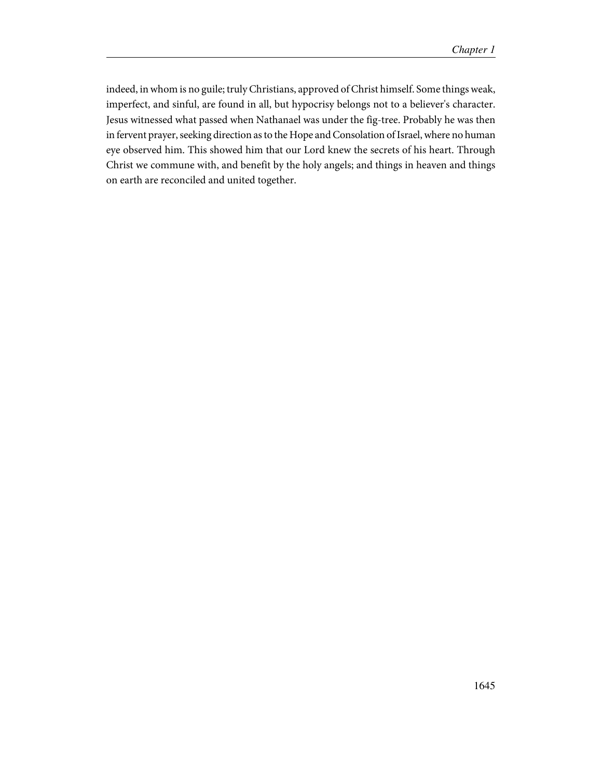indeed, in whom is no guile; truly Christians, approved of Christ himself. Some things weak, imperfect, and sinful, are found in all, but hypocrisy belongs not to a believer's character. Jesus witnessed what passed when Nathanael was under the fig-tree. Probably he was then in fervent prayer, seeking direction as to the Hope and Consolation of Israel, where no human eye observed him. This showed him that our Lord knew the secrets of his heart. Through Christ we commune with, and benefit by the holy angels; and things in heaven and things on earth are reconciled and united together.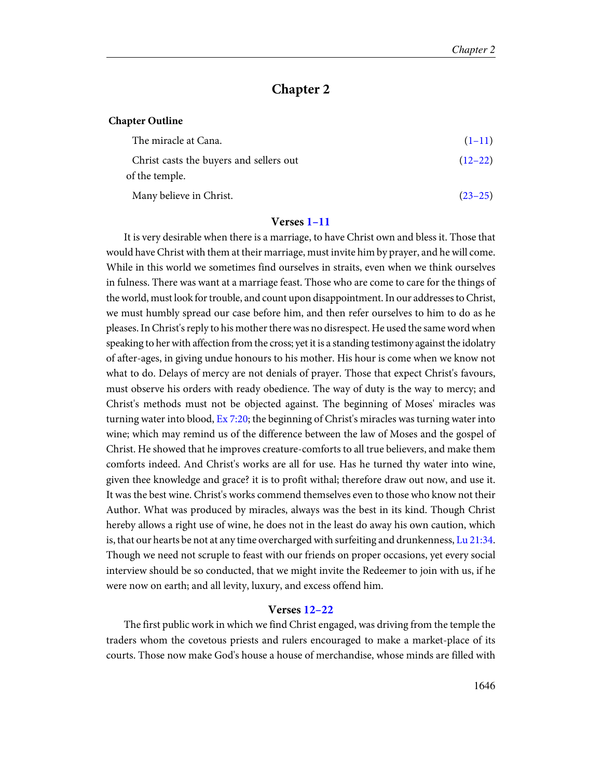#### **Chapter Outline**

| The miracle at Cana.                    | $(1-11)$  |
|-----------------------------------------|-----------|
| Christ casts the buyers and sellers out | $(12-22)$ |
| of the temple.                          |           |
| Many believe in Christ.                 | $(23-25)$ |

# **Verses [1–11](http://www.ccel.org/study/Bible:John.2.1-John.2.11)**

It is very desirable when there is a marriage, to have Christ own and bless it. Those that would have Christ with them at their marriage, must invite him by prayer, and he will come. While in this world we sometimes find ourselves in straits, even when we think ourselves in fulness. There was want at a marriage feast. Those who are come to care for the things of the world, must look for trouble, and count upon disappointment. In our addresses to Christ, we must humbly spread our case before him, and then refer ourselves to him to do as he pleases. In Christ's reply to his mother there was no disrespect. He used the same word when speaking to her with affection from the cross; yet it is a standing testimony against the idolatry of after-ages, in giving undue honours to his mother. His hour is come when we know not what to do. Delays of mercy are not denials of prayer. Those that expect Christ's favours, must observe his orders with ready obedience. The way of duty is the way to mercy; and Christ's methods must not be objected against. The beginning of Moses' miracles was turning water into blood, [Ex 7:20](http://www.ccel.org/study/Bible:Exod.7.20); the beginning of Christ's miracles was turning water into wine; which may remind us of the difference between the law of Moses and the gospel of Christ. He showed that he improves creature-comforts to all true believers, and make them comforts indeed. And Christ's works are all for use. Has he turned thy water into wine, given thee knowledge and grace? it is to profit withal; therefore draw out now, and use it. It was the best wine. Christ's works commend themselves even to those who know not their Author. What was produced by miracles, always was the best in its kind. Though Christ hereby allows a right use of wine, he does not in the least do away his own caution, which is, that our hearts be not at any time overcharged with surfeiting and drunkenness, [Lu 21:34.](http://www.ccel.org/study/Bible:Luke.21.34) Though we need not scruple to feast with our friends on proper occasions, yet every social interview should be so conducted, that we might invite the Redeemer to join with us, if he were now on earth; and all levity, luxury, and excess offend him.

#### **Verses [12–22](http://www.ccel.org/study/Bible:John.2.12-John.2.22)**

The first public work in which we find Christ engaged, was driving from the temple the traders whom the covetous priests and rulers encouraged to make a market-place of its courts. Those now make God's house a house of merchandise, whose minds are filled with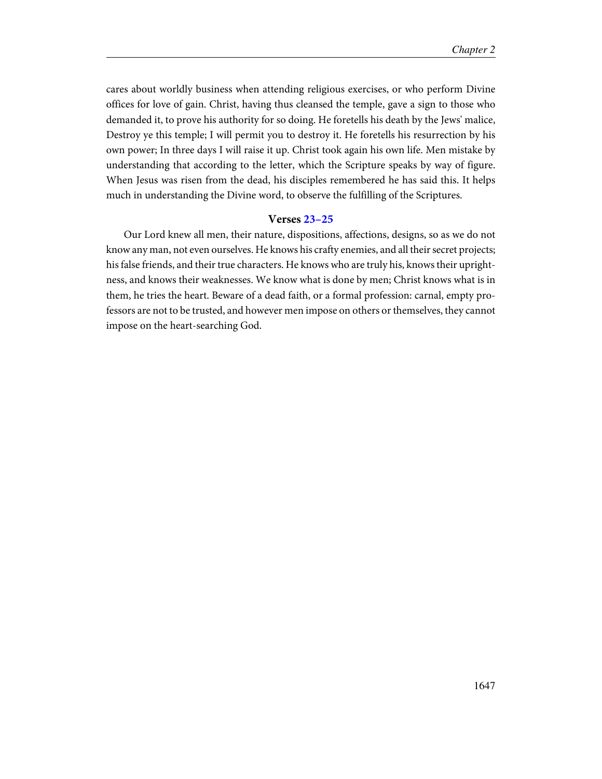cares about worldly business when attending religious exercises, or who perform Divine offices for love of gain. Christ, having thus cleansed the temple, gave a sign to those who demanded it, to prove his authority for so doing. He foretells his death by the Jews' malice, Destroy ye this temple; I will permit you to destroy it. He foretells his resurrection by his own power; In three days I will raise it up. Christ took again his own life. Men mistake by understanding that according to the letter, which the Scripture speaks by way of figure. When Jesus was risen from the dead, his disciples remembered he has said this. It helps much in understanding the Divine word, to observe the fulfilling of the Scriptures.

# **Verses [23–25](http://www.ccel.org/study/Bible:John.2.23-John.2.25)**

Our Lord knew all men, their nature, dispositions, affections, designs, so as we do not know any man, not even ourselves. He knows his crafty enemies, and all their secret projects; his false friends, and their true characters. He knows who are truly his, knows their uprightness, and knows their weaknesses. We know what is done by men; Christ knows what is in them, he tries the heart. Beware of a dead faith, or a formal profession: carnal, empty professors are not to be trusted, and however men impose on others or themselves, they cannot impose on the heart-searching God.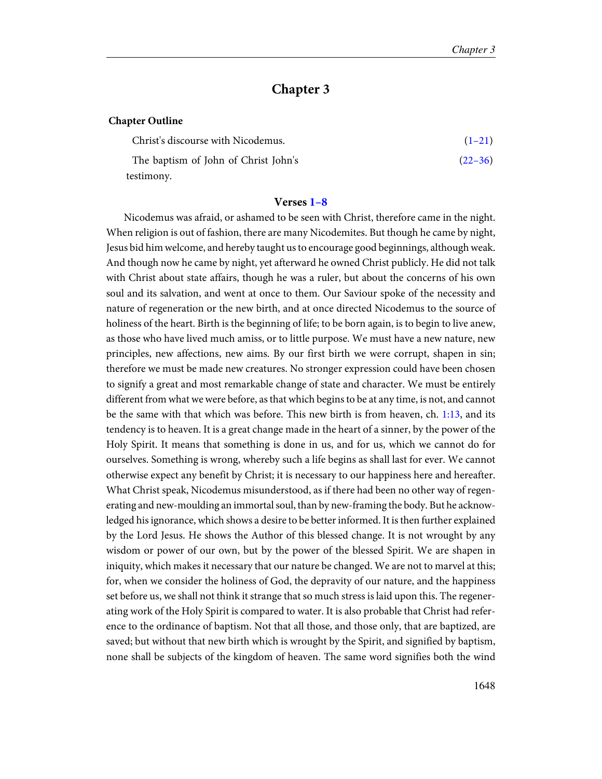#### **Chapter Outline**

| Christ's discourse with Nicodemus.   | $(1-21)$    |
|--------------------------------------|-------------|
| The baptism of John of Christ John's | $(22 - 36)$ |
| testimony.                           |             |

### **Verses [1–8](http://www.ccel.org/study/Bible:John.3.1-John.3.8)**

Nicodemus was afraid, or ashamed to be seen with Christ, therefore came in the night. When religion is out of fashion, there are many Nicodemites. But though he came by night, Jesus bid him welcome, and hereby taught us to encourage good beginnings, although weak. And though now he came by night, yet afterward he owned Christ publicly. He did not talk with Christ about state affairs, though he was a ruler, but about the concerns of his own soul and its salvation, and went at once to them. Our Saviour spoke of the necessity and nature of regeneration or the new birth, and at once directed Nicodemus to the source of holiness of the heart. Birth is the beginning of life; to be born again, is to begin to live anew, as those who have lived much amiss, or to little purpose. We must have a new nature, new principles, new affections, new aims. By our first birth we were corrupt, shapen in sin; therefore we must be made new creatures. No stronger expression could have been chosen to signify a great and most remarkable change of state and character. We must be entirely different from what we were before, as that which begins to be at any time, is not, and cannot be the same with that which was before. This new birth is from heaven, ch. [1:13,](http://www.ccel.org/study/Bible:John.1.13) and its tendency is to heaven. It is a great change made in the heart of a sinner, by the power of the Holy Spirit. It means that something is done in us, and for us, which we cannot do for ourselves. Something is wrong, whereby such a life begins as shall last for ever. We cannot otherwise expect any benefit by Christ; it is necessary to our happiness here and hereafter. What Christ speak, Nicodemus misunderstood, as if there had been no other way of regenerating and new-moulding an immortal soul, than by new-framing the body. But he acknowledged his ignorance, which shows a desire to be better informed. It is then further explained by the Lord Jesus. He shows the Author of this blessed change. It is not wrought by any wisdom or power of our own, but by the power of the blessed Spirit. We are shapen in iniquity, which makes it necessary that our nature be changed. We are not to marvel at this; for, when we consider the holiness of God, the depravity of our nature, and the happiness set before us, we shall not think it strange that so much stress is laid upon this. The regenerating work of the Holy Spirit is compared to water. It is also probable that Christ had reference to the ordinance of baptism. Not that all those, and those only, that are baptized, are saved; but without that new birth which is wrought by the Spirit, and signified by baptism, none shall be subjects of the kingdom of heaven. The same word signifies both the wind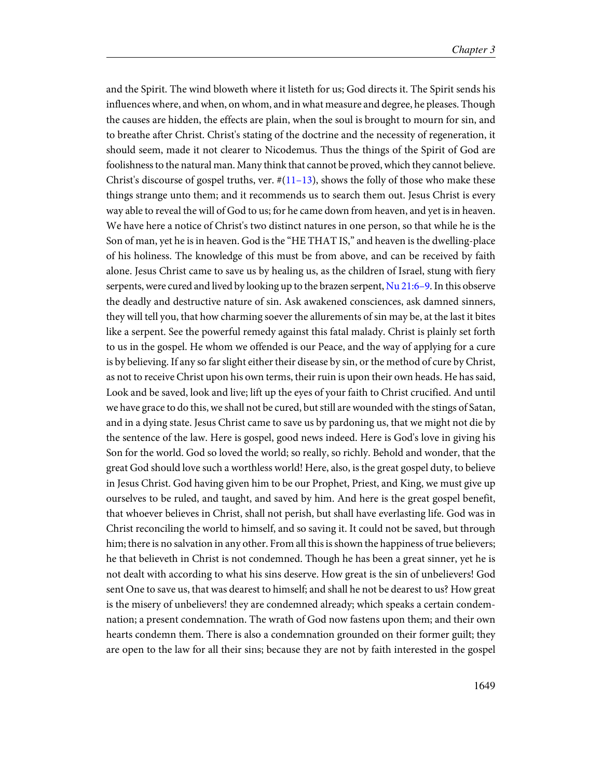and the Spirit. The wind bloweth where it listeth for us; God directs it. The Spirit sends his influences where, and when, on whom, and in what measure and degree, he pleases. Though the causes are hidden, the effects are plain, when the soul is brought to mourn for sin, and to breathe after Christ. Christ's stating of the doctrine and the necessity of regeneration, it should seem, made it not clearer to Nicodemus. Thus the things of the Spirit of God are foolishness to the natural man. Many think that cannot be proved, which they cannot believe. Christ's discourse of gospel truths, ver.  $\#(11-13)$ , shows the folly of those who make these things strange unto them; and it recommends us to search them out. Jesus Christ is every way able to reveal the will of God to us; for he came down from heaven, and yet is in heaven. We have here a notice of Christ's two distinct natures in one person, so that while he is the Son of man, yet he is in heaven. God is the "HE THAT IS," and heaven is the dwelling-place of his holiness. The knowledge of this must be from above, and can be received by faith alone. Jesus Christ came to save us by healing us, as the children of Israel, stung with fiery serpents, were cured and lived by looking up to the brazen serpent, [Nu 21:6–9](http://www.ccel.org/study/Bible:Num.21.6-Num.21.9). In this observe the deadly and destructive nature of sin. Ask awakened consciences, ask damned sinners, they will tell you, that how charming soever the allurements of sin may be, at the last it bites like a serpent. See the powerful remedy against this fatal malady. Christ is plainly set forth to us in the gospel. He whom we offended is our Peace, and the way of applying for a cure is by believing. If any so far slight either their disease by sin, or the method of cure by Christ, as not to receive Christ upon his own terms, their ruin is upon their own heads. He has said, Look and be saved, look and live; lift up the eyes of your faith to Christ crucified. And until we have grace to do this, we shall not be cured, but still are wounded with the stings of Satan, and in a dying state. Jesus Christ came to save us by pardoning us, that we might not die by the sentence of the law. Here is gospel, good news indeed. Here is God's love in giving his Son for the world. God so loved the world; so really, so richly. Behold and wonder, that the great God should love such a worthless world! Here, also, is the great gospel duty, to believe in Jesus Christ. God having given him to be our Prophet, Priest, and King, we must give up ourselves to be ruled, and taught, and saved by him. And here is the great gospel benefit, that whoever believes in Christ, shall not perish, but shall have everlasting life. God was in Christ reconciling the world to himself, and so saving it. It could not be saved, but through him; there is no salvation in any other. From all this is shown the happiness of true believers; he that believeth in Christ is not condemned. Though he has been a great sinner, yet he is not dealt with according to what his sins deserve. How great is the sin of unbelievers! God sent One to save us, that was dearest to himself; and shall he not be dearest to us? How great is the misery of unbelievers! they are condemned already; which speaks a certain condemnation; a present condemnation. The wrath of God now fastens upon them; and their own hearts condemn them. There is also a condemnation grounded on their former guilt; they are open to the law for all their sins; because they are not by faith interested in the gospel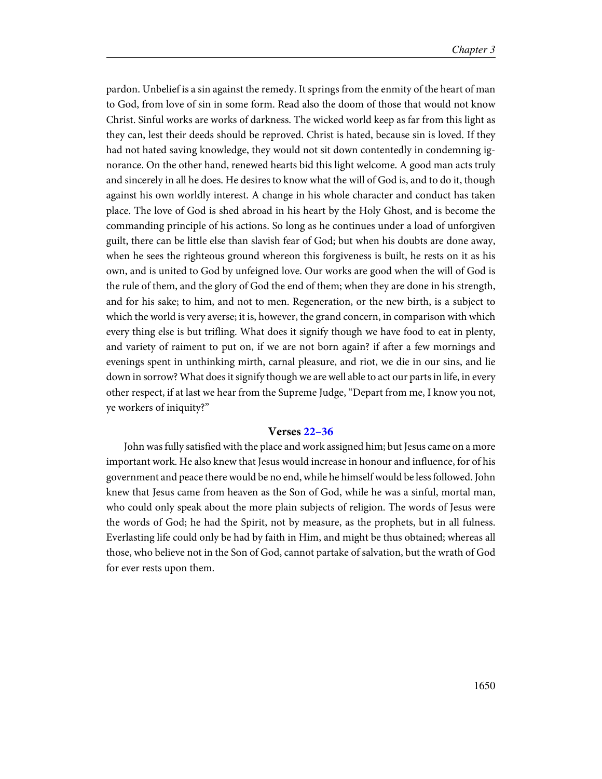pardon. Unbelief is a sin against the remedy. It springs from the enmity of the heart of man to God, from love of sin in some form. Read also the doom of those that would not know Christ. Sinful works are works of darkness. The wicked world keep as far from this light as they can, lest their deeds should be reproved. Christ is hated, because sin is loved. If they had not hated saving knowledge, they would not sit down contentedly in condemning ignorance. On the other hand, renewed hearts bid this light welcome. A good man acts truly and sincerely in all he does. He desires to know what the will of God is, and to do it, though against his own worldly interest. A change in his whole character and conduct has taken place. The love of God is shed abroad in his heart by the Holy Ghost, and is become the commanding principle of his actions. So long as he continues under a load of unforgiven guilt, there can be little else than slavish fear of God; but when his doubts are done away, when he sees the righteous ground whereon this forgiveness is built, he rests on it as his own, and is united to God by unfeigned love. Our works are good when the will of God is the rule of them, and the glory of God the end of them; when they are done in his strength, and for his sake; to him, and not to men. Regeneration, or the new birth, is a subject to which the world is very averse; it is, however, the grand concern, in comparison with which every thing else is but trifling. What does it signify though we have food to eat in plenty, and variety of raiment to put on, if we are not born again? if after a few mornings and evenings spent in unthinking mirth, carnal pleasure, and riot, we die in our sins, and lie down in sorrow? What does it signify though we are well able to act our parts in life, in every other respect, if at last we hear from the Supreme Judge, "Depart from me, I know you not, ye workers of iniquity?"

#### **Verses [22–36](http://www.ccel.org/study/Bible:John.3.22-John.3.36)**

John was fully satisfied with the place and work assigned him; but Jesus came on a more important work. He also knew that Jesus would increase in honour and influence, for of his government and peace there would be no end, while he himself would be less followed. John knew that Jesus came from heaven as the Son of God, while he was a sinful, mortal man, who could only speak about the more plain subjects of religion. The words of Jesus were the words of God; he had the Spirit, not by measure, as the prophets, but in all fulness. Everlasting life could only be had by faith in Him, and might be thus obtained; whereas all those, who believe not in the Son of God, cannot partake of salvation, but the wrath of God for ever rests upon them.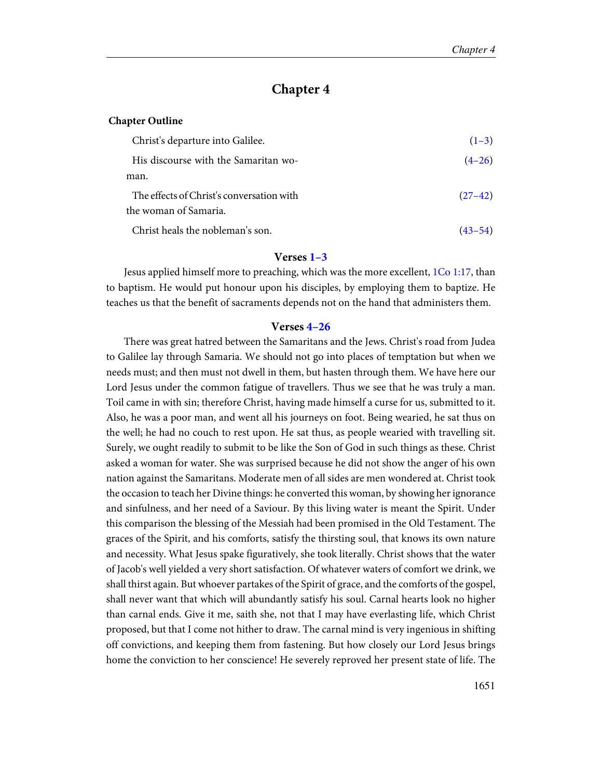#### **Chapter Outline**

| Christ's departure into Galilee.          | $(1-3)$     |
|-------------------------------------------|-------------|
| His discourse with the Samaritan wo-      | $(4-26)$    |
| man.                                      |             |
| The effects of Christ's conversation with | $(27-42)$   |
| the woman of Samaria.                     |             |
| Christ heals the nobleman's son.          | $(43 - 54)$ |

### **Verses [1–3](http://www.ccel.org/study/Bible:John.4.1-John.4.3)**

Jesus applied himself more to preaching, which was the more excellent, [1Co 1:17](http://www.ccel.org/study/Bible:1Cor.1.17), than to baptism. He would put honour upon his disciples, by employing them to baptize. He teaches us that the benefit of sacraments depends not on the hand that administers them.

#### **Verses [4–26](http://www.ccel.org/study/Bible:John.4.4-John.4.26)**

There was great hatred between the Samaritans and the Jews. Christ's road from Judea to Galilee lay through Samaria. We should not go into places of temptation but when we needs must; and then must not dwell in them, but hasten through them. We have here our Lord Jesus under the common fatigue of travellers. Thus we see that he was truly a man. Toil came in with sin; therefore Christ, having made himself a curse for us, submitted to it. Also, he was a poor man, and went all his journeys on foot. Being wearied, he sat thus on the well; he had no couch to rest upon. He sat thus, as people wearied with travelling sit. Surely, we ought readily to submit to be like the Son of God in such things as these. Christ asked a woman for water. She was surprised because he did not show the anger of his own nation against the Samaritans. Moderate men of all sides are men wondered at. Christ took the occasion to teach her Divine things: he converted this woman, by showing her ignorance and sinfulness, and her need of a Saviour. By this living water is meant the Spirit. Under this comparison the blessing of the Messiah had been promised in the Old Testament. The graces of the Spirit, and his comforts, satisfy the thirsting soul, that knows its own nature and necessity. What Jesus spake figuratively, she took literally. Christ shows that the water of Jacob's well yielded a very short satisfaction. Of whatever waters of comfort we drink, we shall thirst again. But whoever partakes of the Spirit of grace, and the comforts of the gospel, shall never want that which will abundantly satisfy his soul. Carnal hearts look no higher than carnal ends. Give it me, saith she, not that I may have everlasting life, which Christ proposed, but that I come not hither to draw. The carnal mind is very ingenious in shifting off convictions, and keeping them from fastening. But how closely our Lord Jesus brings home the conviction to her conscience! He severely reproved her present state of life. The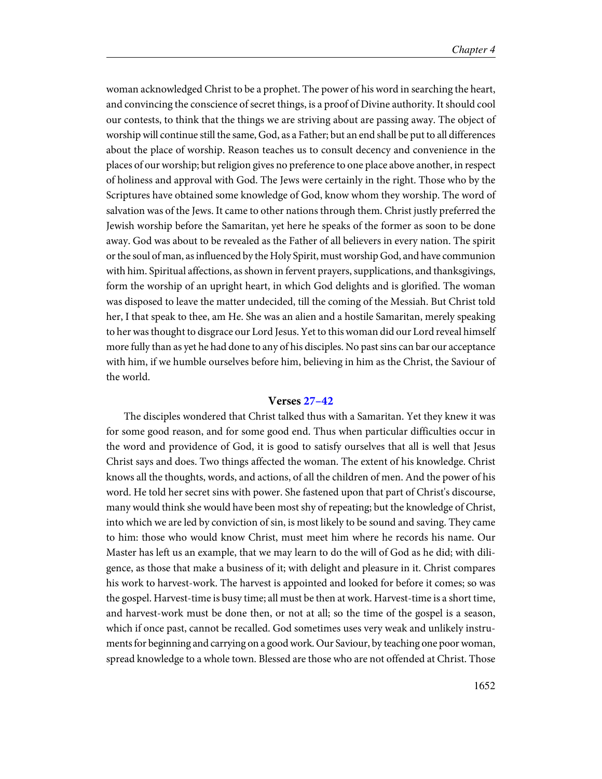woman acknowledged Christ to be a prophet. The power of his word in searching the heart, and convincing the conscience of secret things, is a proof of Divine authority. It should cool our contests, to think that the things we are striving about are passing away. The object of worship will continue still the same, God, as a Father; but an end shall be put to all differences about the place of worship. Reason teaches us to consult decency and convenience in the places of our worship; but religion gives no preference to one place above another, in respect of holiness and approval with God. The Jews were certainly in the right. Those who by the Scriptures have obtained some knowledge of God, know whom they worship. The word of salvation was of the Jews. It came to other nations through them. Christ justly preferred the Jewish worship before the Samaritan, yet here he speaks of the former as soon to be done away. God was about to be revealed as the Father of all believers in every nation. The spirit or the soul of man, as influenced by the Holy Spirit, must worship God, and have communion with him. Spiritual affections, as shown in fervent prayers, supplications, and thanksgivings, form the worship of an upright heart, in which God delights and is glorified. The woman was disposed to leave the matter undecided, till the coming of the Messiah. But Christ told her, I that speak to thee, am He. She was an alien and a hostile Samaritan, merely speaking to her was thought to disgrace our Lord Jesus. Yet to this woman did our Lord reveal himself more fully than as yet he had done to any of his disciples. No past sins can bar our acceptance with him, if we humble ourselves before him, believing in him as the Christ, the Saviour of the world.

# **Verses [27–42](http://www.ccel.org/study/Bible:John.4.27-John.4.42)**

The disciples wondered that Christ talked thus with a Samaritan. Yet they knew it was for some good reason, and for some good end. Thus when particular difficulties occur in the word and providence of God, it is good to satisfy ourselves that all is well that Jesus Christ says and does. Two things affected the woman. The extent of his knowledge. Christ knows all the thoughts, words, and actions, of all the children of men. And the power of his word. He told her secret sins with power. She fastened upon that part of Christ's discourse, many would think she would have been most shy of repeating; but the knowledge of Christ, into which we are led by conviction of sin, is most likely to be sound and saving. They came to him: those who would know Christ, must meet him where he records his name. Our Master has left us an example, that we may learn to do the will of God as he did; with diligence, as those that make a business of it; with delight and pleasure in it. Christ compares his work to harvest-work. The harvest is appointed and looked for before it comes; so was the gospel. Harvest-time is busy time; all must be then at work. Harvest-time is a short time, and harvest-work must be done then, or not at all; so the time of the gospel is a season, which if once past, cannot be recalled. God sometimes uses very weak and unlikely instruments for beginning and carrying on a good work. Our Saviour, by teaching one poor woman, spread knowledge to a whole town. Blessed are those who are not offended at Christ. Those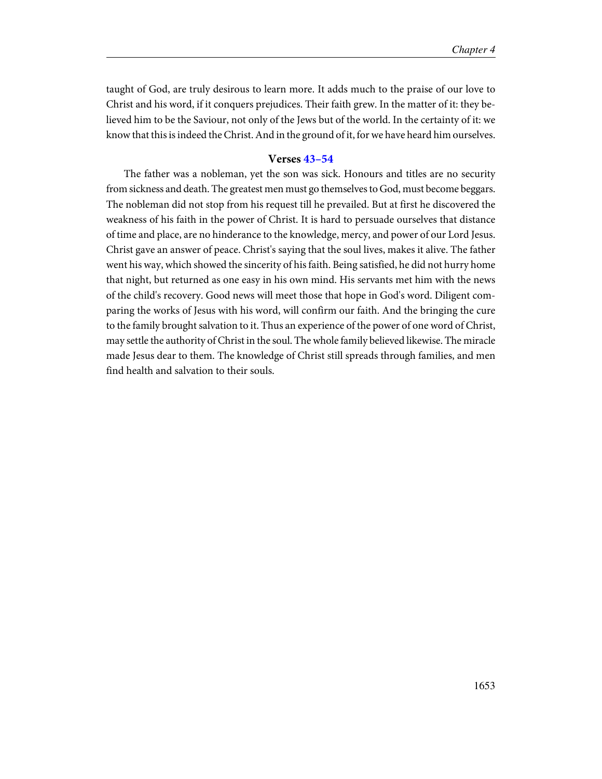taught of God, are truly desirous to learn more. It adds much to the praise of our love to Christ and his word, if it conquers prejudices. Their faith grew. In the matter of it: they believed him to be the Saviour, not only of the Jews but of the world. In the certainty of it: we know that this is indeed the Christ. And in the ground of it, for we have heard him ourselves.

# **Verses [43–54](http://www.ccel.org/study/Bible:John.4.43-John.4.54)**

The father was a nobleman, yet the son was sick. Honours and titles are no security from sickness and death. The greatest men must go themselves to God, must become beggars. The nobleman did not stop from his request till he prevailed. But at first he discovered the weakness of his faith in the power of Christ. It is hard to persuade ourselves that distance of time and place, are no hinderance to the knowledge, mercy, and power of our Lord Jesus. Christ gave an answer of peace. Christ's saying that the soul lives, makes it alive. The father went his way, which showed the sincerity of his faith. Being satisfied, he did not hurry home that night, but returned as one easy in his own mind. His servants met him with the news of the child's recovery. Good news will meet those that hope in God's word. Diligent comparing the works of Jesus with his word, will confirm our faith. And the bringing the cure to the family brought salvation to it. Thus an experience of the power of one word of Christ, may settle the authority of Christ in the soul. The whole family believed likewise. The miracle made Jesus dear to them. The knowledge of Christ still spreads through families, and men find health and salvation to their souls.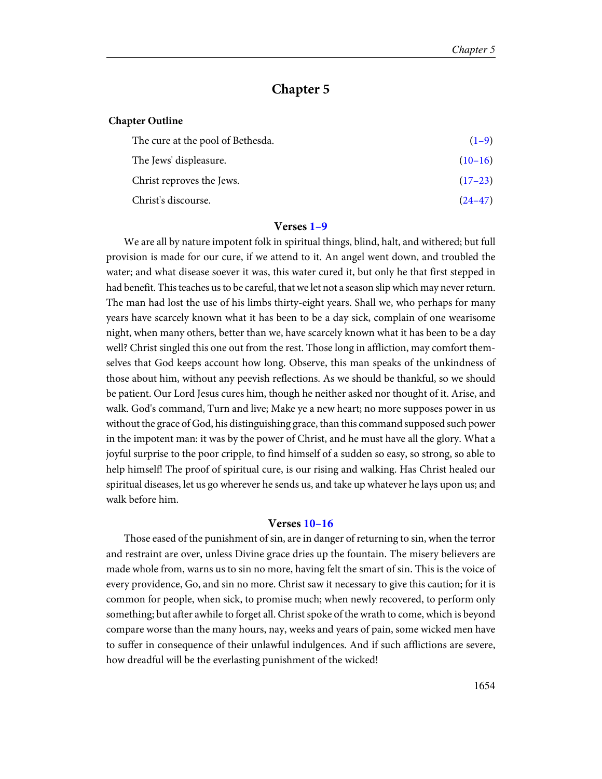### **Chapter Outline**

| The cure at the pool of Bethesda. | $(1-9)$     |
|-----------------------------------|-------------|
| The Jews' displeasure.            | $(10-16)$   |
| Christ reproves the Jews.         | $(17-23)$   |
| Christ's discourse.               | $(24 - 47)$ |

# **Verses [1–9](http://www.ccel.org/study/Bible:John.5.1-John.5.9)**

We are all by nature impotent folk in spiritual things, blind, halt, and withered; but full provision is made for our cure, if we attend to it. An angel went down, and troubled the water; and what disease soever it was, this water cured it, but only he that first stepped in had benefit. This teaches us to be careful, that we let not a season slip which may never return. The man had lost the use of his limbs thirty-eight years. Shall we, who perhaps for many years have scarcely known what it has been to be a day sick, complain of one wearisome night, when many others, better than we, have scarcely known what it has been to be a day well? Christ singled this one out from the rest. Those long in affliction, may comfort themselves that God keeps account how long. Observe, this man speaks of the unkindness of those about him, without any peevish reflections. As we should be thankful, so we should be patient. Our Lord Jesus cures him, though he neither asked nor thought of it. Arise, and walk. God's command, Turn and live; Make ye a new heart; no more supposes power in us without the grace of God, his distinguishing grace, than this command supposed such power in the impotent man: it was by the power of Christ, and he must have all the glory. What a joyful surprise to the poor cripple, to find himself of a sudden so easy, so strong, so able to help himself! The proof of spiritual cure, is our rising and walking. Has Christ healed our spiritual diseases, let us go wherever he sends us, and take up whatever he lays upon us; and walk before him.

## **Verses [10–16](http://www.ccel.org/study/Bible:John.5.10-John.5.16)**

Those eased of the punishment of sin, are in danger of returning to sin, when the terror and restraint are over, unless Divine grace dries up the fountain. The misery believers are made whole from, warns us to sin no more, having felt the smart of sin. This is the voice of every providence, Go, and sin no more. Christ saw it necessary to give this caution; for it is common for people, when sick, to promise much; when newly recovered, to perform only something; but after awhile to forget all. Christ spoke of the wrath to come, which is beyond compare worse than the many hours, nay, weeks and years of pain, some wicked men have to suffer in consequence of their unlawful indulgences. And if such afflictions are severe, how dreadful will be the everlasting punishment of the wicked!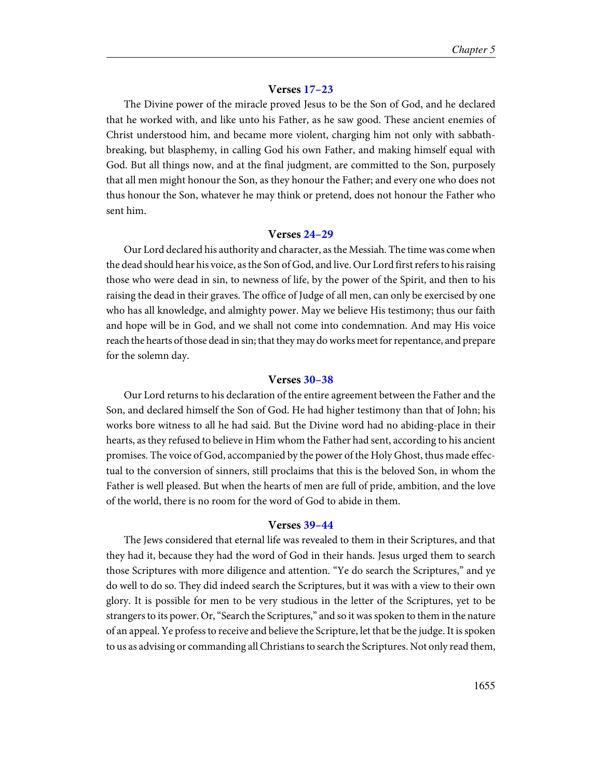# **Verses [17–23](http://www.ccel.org/study/Bible:John.5.17-John.5.23)**

The Divine power of the miracle proved Jesus to be the Son of God, and he declared that he worked with, and like unto his Father, as he saw good. These ancient enemies of Christ understood him, and became more violent, charging him not only with sabbathbreaking, but blasphemy, in calling God his own Father, and making himself equal with God. But all things now, and at the final judgment, are committed to the Son, purposely that all men might honour the Son, as they honour the Father; and every one who does not thus honour the Son, whatever he may think or pretend, does not honour the Father who sent him.

# **Verses [24–29](http://www.ccel.org/study/Bible:John.5.24-John.5.29)**

Our Lord declared his authority and character, as the Messiah. The time was come when the dead should hear his voice, as the Son of God, and live. Our Lord first refers to his raising those who were dead in sin, to newness of life, by the power of the Spirit, and then to his raising the dead in their graves. The office of Judge of all men, can only be exercised by one who has all knowledge, and almighty power. May we believe His testimony; thus our faith and hope will be in God, and we shall not come into condemnation. And may His voice reach the hearts of those dead in sin; that they may do works meet for repentance, and prepare for the solemn day.

## **Verses [30–38](http://www.ccel.org/study/Bible:John.5.30-John.5.38)**

Our Lord returns to his declaration of the entire agreement between the Father and the Son, and declared himself the Son of God. He had higher testimony than that of John; his works bore witness to all he had said. But the Divine word had no abiding-place in their hearts, as they refused to believe in Him whom the Father had sent, according to his ancient promises. The voice of God, accompanied by the power of the Holy Ghost, thus made effectual to the conversion of sinners, still proclaims that this is the beloved Son, in whom the Father is well pleased. But when the hearts of men are full of pride, ambition, and the love of the world, there is no room for the word of God to abide in them.

## **Verses [39–44](http://www.ccel.org/study/Bible:John.5.39-John.5.44)**

The Jews considered that eternal life was revealed to them in their Scriptures, and that they had it, because they had the word of God in their hands. Jesus urged them to search those Scriptures with more diligence and attention. "Ye do search the Scriptures," and ye do well to do so. They did indeed search the Scriptures, but it was with a view to their own glory. It is possible for men to be very studious in the letter of the Scriptures, yet to be strangers to its power. Or, "Search the Scriptures," and so it was spoken to them in the nature of an appeal. Ye profess to receive and believe the Scripture, let that be the judge. It is spoken to us as advising or commanding all Christians to search the Scriptures. Not only read them,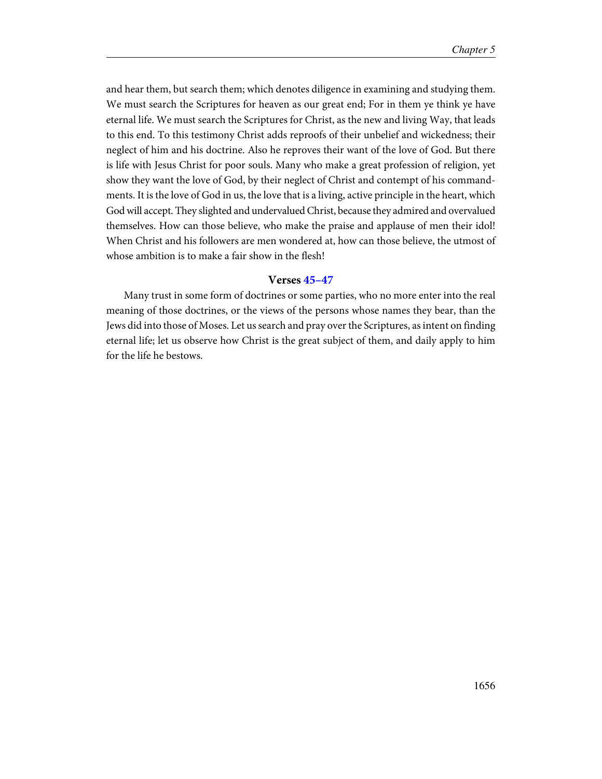and hear them, but search them; which denotes diligence in examining and studying them. We must search the Scriptures for heaven as our great end; For in them ye think ye have eternal life. We must search the Scriptures for Christ, as the new and living Way, that leads to this end. To this testimony Christ adds reproofs of their unbelief and wickedness; their neglect of him and his doctrine. Also he reproves their want of the love of God. But there is life with Jesus Christ for poor souls. Many who make a great profession of religion, yet show they want the love of God, by their neglect of Christ and contempt of his commandments. It is the love of God in us, the love that is a living, active principle in the heart, which God will accept. They slighted and undervalued Christ, because they admired and overvalued themselves. How can those believe, who make the praise and applause of men their idol! When Christ and his followers are men wondered at, how can those believe, the utmost of whose ambition is to make a fair show in the flesh!

## **Verses [45–47](http://www.ccel.org/study/Bible:John.5.45-John.5.47)**

Many trust in some form of doctrines or some parties, who no more enter into the real meaning of those doctrines, or the views of the persons whose names they bear, than the Jews did into those of Moses. Let us search and pray over the Scriptures, as intent on finding eternal life; let us observe how Christ is the great subject of them, and daily apply to him for the life he bestows.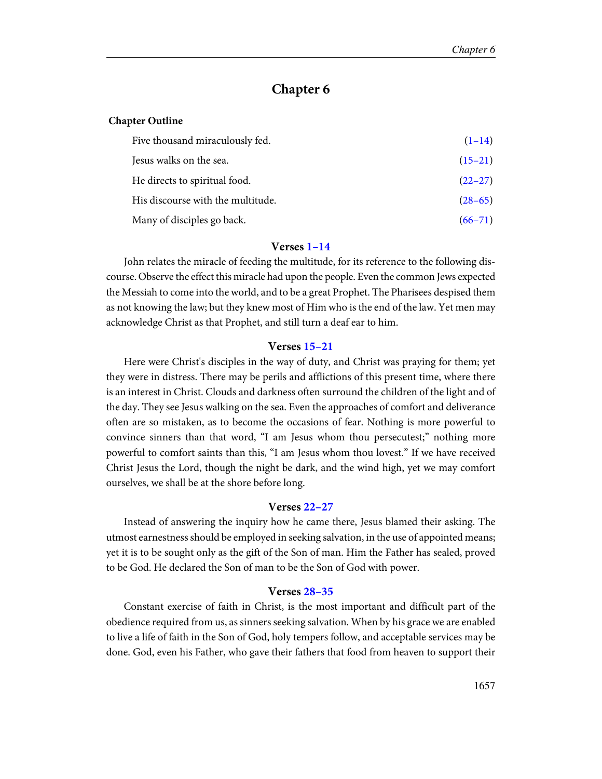#### **Chapter Outline**

| Five thousand miraculously fed.   | $(1-14)$    |
|-----------------------------------|-------------|
| Jesus walks on the sea.           | $(15-21)$   |
| He directs to spiritual food.     | $(22 - 27)$ |
| His discourse with the multitude. | $(28-65)$   |
| Many of disciples go back.        | $(66 - 71)$ |

### **Verses [1–14](http://www.ccel.org/study/Bible:John.6.1-John.6.14)**

John relates the miracle of feeding the multitude, for its reference to the following discourse. Observe the effect this miracle had upon the people. Even the common Jews expected the Messiah to come into the world, and to be a great Prophet. The Pharisees despised them as not knowing the law; but they knew most of Him who is the end of the law. Yet men may acknowledge Christ as that Prophet, and still turn a deaf ear to him.

## **Verses [15–21](http://www.ccel.org/study/Bible:John.6.15-John.6.21)**

Here were Christ's disciples in the way of duty, and Christ was praying for them; yet they were in distress. There may be perils and afflictions of this present time, where there is an interest in Christ. Clouds and darkness often surround the children of the light and of the day. They see Jesus walking on the sea. Even the approaches of comfort and deliverance often are so mistaken, as to become the occasions of fear. Nothing is more powerful to convince sinners than that word, "I am Jesus whom thou persecutest;" nothing more powerful to comfort saints than this, "I am Jesus whom thou lovest." If we have received Christ Jesus the Lord, though the night be dark, and the wind high, yet we may comfort ourselves, we shall be at the shore before long.

#### **Verses [22–27](http://www.ccel.org/study/Bible:John.6.22-John.6.27)**

Instead of answering the inquiry how he came there, Jesus blamed their asking. The utmost earnestness should be employed in seeking salvation, in the use of appointed means; yet it is to be sought only as the gift of the Son of man. Him the Father has sealed, proved to be God. He declared the Son of man to be the Son of God with power.

### **Verses [28–35](http://www.ccel.org/study/Bible:John.6.28-John.6.35)**

Constant exercise of faith in Christ, is the most important and difficult part of the obedience required from us, as sinners seeking salvation. When by his grace we are enabled to live a life of faith in the Son of God, holy tempers follow, and acceptable services may be done. God, even his Father, who gave their fathers that food from heaven to support their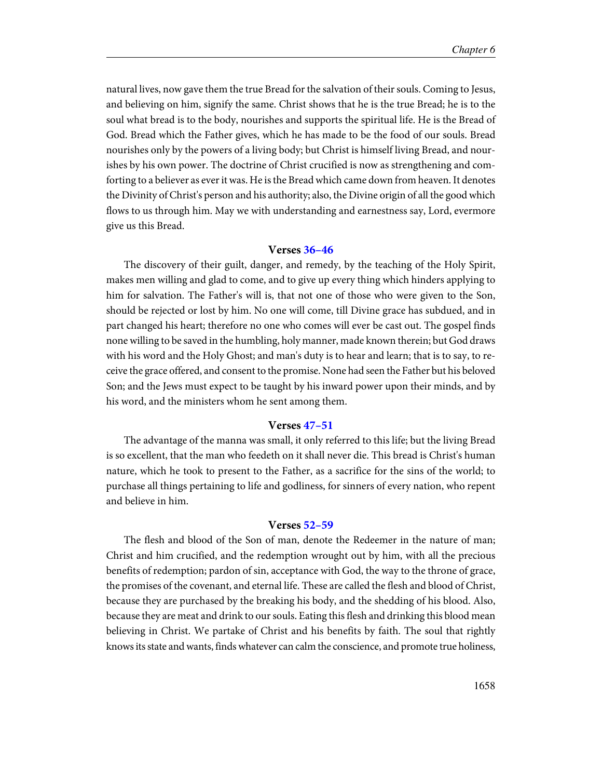natural lives, now gave them the true Bread for the salvation of their souls. Coming to Jesus, and believing on him, signify the same. Christ shows that he is the true Bread; he is to the soul what bread is to the body, nourishes and supports the spiritual life. He is the Bread of God. Bread which the Father gives, which he has made to be the food of our souls. Bread nourishes only by the powers of a living body; but Christ is himself living Bread, and nourishes by his own power. The doctrine of Christ crucified is now as strengthening and comforting to a believer as ever it was. He is the Bread which came down from heaven. It denotes the Divinity of Christ's person and his authority; also, the Divine origin of all the good which flows to us through him. May we with understanding and earnestness say, Lord, evermore give us this Bread.

# **Verses [36–46](http://www.ccel.org/study/Bible:John.6.36-John.6.46)**

The discovery of their guilt, danger, and remedy, by the teaching of the Holy Spirit, makes men willing and glad to come, and to give up every thing which hinders applying to him for salvation. The Father's will is, that not one of those who were given to the Son, should be rejected or lost by him. No one will come, till Divine grace has subdued, and in part changed his heart; therefore no one who comes will ever be cast out. The gospel finds none willing to be saved in the humbling, holy manner, made known therein; but God draws with his word and the Holy Ghost; and man's duty is to hear and learn; that is to say, to receive the grace offered, and consent to the promise. None had seen the Father but his beloved Son; and the Jews must expect to be taught by his inward power upon their minds, and by his word, and the ministers whom he sent among them.

## **Verses [47–51](http://www.ccel.org/study/Bible:John.6.47-John.6.51)**

The advantage of the manna was small, it only referred to this life; but the living Bread is so excellent, that the man who feedeth on it shall never die. This bread is Christ's human nature, which he took to present to the Father, as a sacrifice for the sins of the world; to purchase all things pertaining to life and godliness, for sinners of every nation, who repent and believe in him.

## **Verses [52–59](http://www.ccel.org/study/Bible:John.6.52-John.6.59)**

The flesh and blood of the Son of man, denote the Redeemer in the nature of man; Christ and him crucified, and the redemption wrought out by him, with all the precious benefits of redemption; pardon of sin, acceptance with God, the way to the throne of grace, the promises of the covenant, and eternal life. These are called the flesh and blood of Christ, because they are purchased by the breaking his body, and the shedding of his blood. Also, because they are meat and drink to our souls. Eating this flesh and drinking this blood mean believing in Christ. We partake of Christ and his benefits by faith. The soul that rightly knows its state and wants, finds whatever can calm the conscience, and promote true holiness,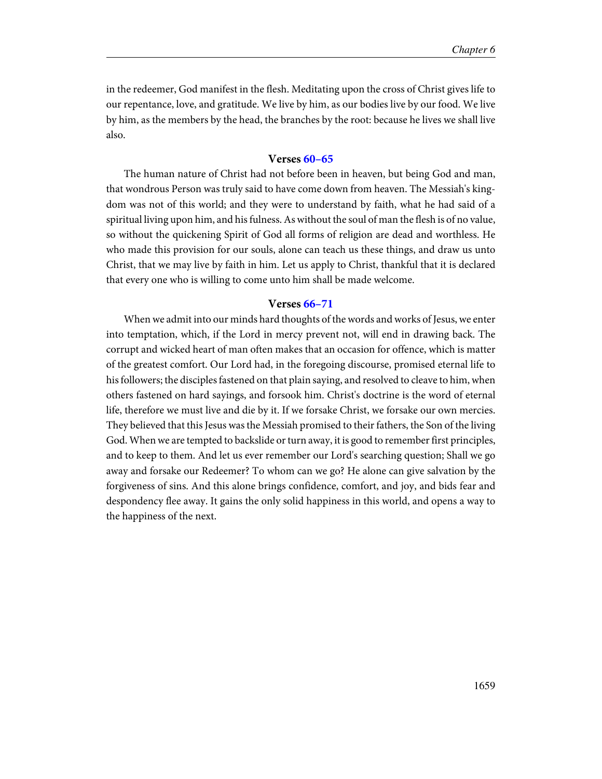in the redeemer, God manifest in the flesh. Meditating upon the cross of Christ gives life to our repentance, love, and gratitude. We live by him, as our bodies live by our food. We live by him, as the members by the head, the branches by the root: because he lives we shall live also.

# **Verses [60–65](http://www.ccel.org/study/Bible:John.6.60-John.6.65)**

The human nature of Christ had not before been in heaven, but being God and man, that wondrous Person was truly said to have come down from heaven. The Messiah's kingdom was not of this world; and they were to understand by faith, what he had said of a spiritual living upon him, and his fulness. As without the soul of man the flesh is of no value, so without the quickening Spirit of God all forms of religion are dead and worthless. He who made this provision for our souls, alone can teach us these things, and draw us unto Christ, that we may live by faith in him. Let us apply to Christ, thankful that it is declared that every one who is willing to come unto him shall be made welcome.

#### **Verses [66–71](http://www.ccel.org/study/Bible:John.6.66-John.6.71)**

When we admit into our minds hard thoughts of the words and works of Jesus, we enter into temptation, which, if the Lord in mercy prevent not, will end in drawing back. The corrupt and wicked heart of man often makes that an occasion for offence, which is matter of the greatest comfort. Our Lord had, in the foregoing discourse, promised eternal life to his followers; the disciples fastened on that plain saying, and resolved to cleave to him, when others fastened on hard sayings, and forsook him. Christ's doctrine is the word of eternal life, therefore we must live and die by it. If we forsake Christ, we forsake our own mercies. They believed that this Jesus was the Messiah promised to their fathers, the Son of the living God. When we are tempted to backslide or turn away, it is good to remember first principles, and to keep to them. And let us ever remember our Lord's searching question; Shall we go away and forsake our Redeemer? To whom can we go? He alone can give salvation by the forgiveness of sins. And this alone brings confidence, comfort, and joy, and bids fear and despondency flee away. It gains the only solid happiness in this world, and opens a way to the happiness of the next.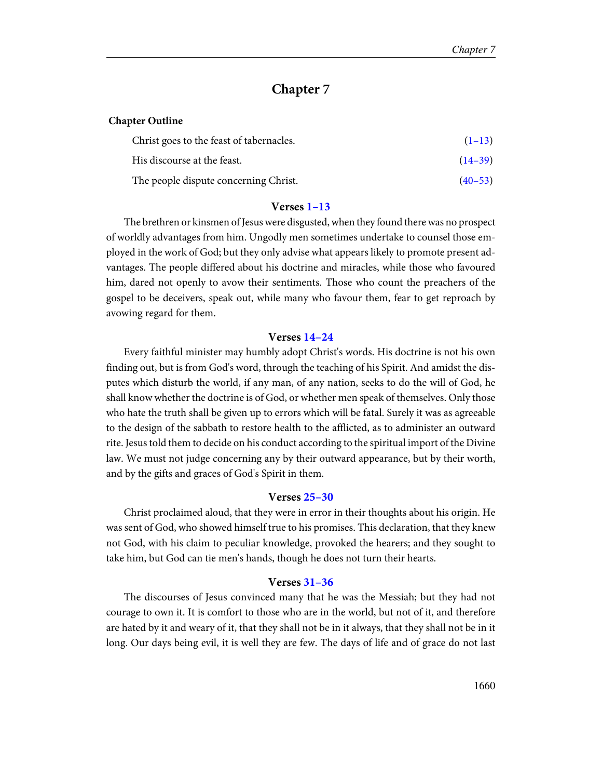### **Chapter Outline**

| Christ goes to the feast of tabernacles. | $(1-13)$    |
|------------------------------------------|-------------|
| His discourse at the feast.              | $(14-39)$   |
| The people dispute concerning Christ.    | $(40 - 53)$ |

## **Verses [1–13](http://www.ccel.org/study/Bible:John.7.1-John.7.13)**

The brethren or kinsmen of Jesus were disgusted, when they found there was no prospect of worldly advantages from him. Ungodly men sometimes undertake to counsel those employed in the work of God; but they only advise what appears likely to promote present advantages. The people differed about his doctrine and miracles, while those who favoured him, dared not openly to avow their sentiments. Those who count the preachers of the gospel to be deceivers, speak out, while many who favour them, fear to get reproach by avowing regard for them.

# **Verses [14–24](http://www.ccel.org/study/Bible:John.7.14-John.7.24)**

Every faithful minister may humbly adopt Christ's words. His doctrine is not his own finding out, but is from God's word, through the teaching of his Spirit. And amidst the disputes which disturb the world, if any man, of any nation, seeks to do the will of God, he shall know whether the doctrine is of God, or whether men speak of themselves. Only those who hate the truth shall be given up to errors which will be fatal. Surely it was as agreeable to the design of the sabbath to restore health to the afflicted, as to administer an outward rite. Jesus told them to decide on his conduct according to the spiritual import of the Divine law. We must not judge concerning any by their outward appearance, but by their worth, and by the gifts and graces of God's Spirit in them.

## **Verses [25–30](http://www.ccel.org/study/Bible:John.7.25-John.7.30)**

Christ proclaimed aloud, that they were in error in their thoughts about his origin. He was sent of God, who showed himself true to his promises. This declaration, that they knew not God, with his claim to peculiar knowledge, provoked the hearers; and they sought to take him, but God can tie men's hands, though he does not turn their hearts.

## **Verses [31–36](http://www.ccel.org/study/Bible:John.7.31-John.7.36)**

The discourses of Jesus convinced many that he was the Messiah; but they had not courage to own it. It is comfort to those who are in the world, but not of it, and therefore are hated by it and weary of it, that they shall not be in it always, that they shall not be in it long. Our days being evil, it is well they are few. The days of life and of grace do not last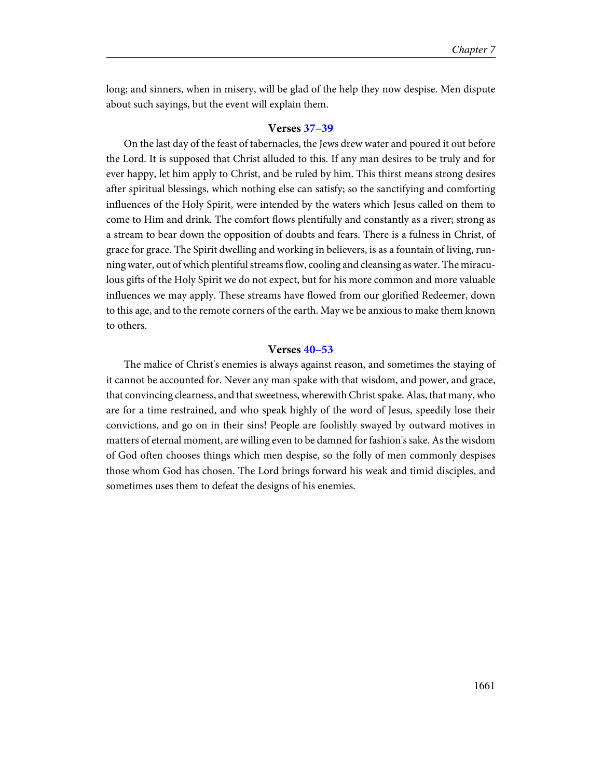long; and sinners, when in misery, will be glad of the help they now despise. Men dispute about such sayings, but the event will explain them.

## **Verses [37–39](http://www.ccel.org/study/Bible:John.7.37-John.7.39)**

On the last day of the feast of tabernacles, the Jews drew water and poured it out before the Lord. It is supposed that Christ alluded to this. If any man desires to be truly and for ever happy, let him apply to Christ, and be ruled by him. This thirst means strong desires after spiritual blessings, which nothing else can satisfy; so the sanctifying and comforting influences of the Holy Spirit, were intended by the waters which Jesus called on them to come to Him and drink. The comfort flows plentifully and constantly as a river; strong as a stream to bear down the opposition of doubts and fears. There is a fulness in Christ, of grace for grace. The Spirit dwelling and working in believers, is as a fountain of living, running water, out of which plentiful streams flow, cooling and cleansing as water. The miraculous gifts of the Holy Spirit we do not expect, but for his more common and more valuable influences we may apply. These streams have flowed from our glorified Redeemer, down to this age, and to the remote corners of the earth. May we be anxious to make them known to others.

#### **Verses [40–53](http://www.ccel.org/study/Bible:John.7.40-John.7.53)**

The malice of Christ's enemies is always against reason, and sometimes the staying of it cannot be accounted for. Never any man spake with that wisdom, and power, and grace, that convincing clearness, and that sweetness, wherewith Christ spake. Alas, that many, who are for a time restrained, and who speak highly of the word of Jesus, speedily lose their convictions, and go on in their sins! People are foolishly swayed by outward motives in matters of eternal moment, are willing even to be damned for fashion's sake. As the wisdom of God often chooses things which men despise, so the folly of men commonly despises those whom God has chosen. The Lord brings forward his weak and timid disciples, and sometimes uses them to defeat the designs of his enemies.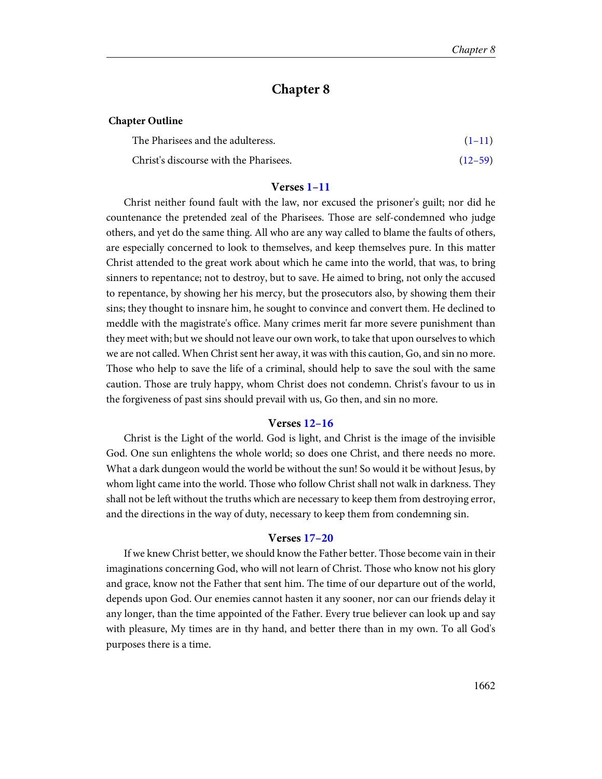#### **Chapter Outline**

| The Pharisees and the adulteress.      | $(1-11)$    |
|----------------------------------------|-------------|
| Christ's discourse with the Pharisees. | $(12 - 59)$ |

#### **Verses [1–11](http://www.ccel.org/study/Bible:John.8.1-John.8.11)**

Christ neither found fault with the law, nor excused the prisoner's guilt; nor did he countenance the pretended zeal of the Pharisees. Those are self-condemned who judge others, and yet do the same thing. All who are any way called to blame the faults of others, are especially concerned to look to themselves, and keep themselves pure. In this matter Christ attended to the great work about which he came into the world, that was, to bring sinners to repentance; not to destroy, but to save. He aimed to bring, not only the accused to repentance, by showing her his mercy, but the prosecutors also, by showing them their sins; they thought to insnare him, he sought to convince and convert them. He declined to meddle with the magistrate's office. Many crimes merit far more severe punishment than they meet with; but we should not leave our own work, to take that upon ourselves to which we are not called. When Christ sent her away, it was with this caution, Go, and sin no more. Those who help to save the life of a criminal, should help to save the soul with the same caution. Those are truly happy, whom Christ does not condemn. Christ's favour to us in the forgiveness of past sins should prevail with us, Go then, and sin no more.

#### **Verses [12–16](http://www.ccel.org/study/Bible:John.8.12-John.8.16)**

Christ is the Light of the world. God is light, and Christ is the image of the invisible God. One sun enlightens the whole world; so does one Christ, and there needs no more. What a dark dungeon would the world be without the sun! So would it be without Jesus, by whom light came into the world. Those who follow Christ shall not walk in darkness. They shall not be left without the truths which are necessary to keep them from destroying error, and the directions in the way of duty, necessary to keep them from condemning sin.

#### **Verses [17–20](http://www.ccel.org/study/Bible:John.8.17-John.8.20)**

If we knew Christ better, we should know the Father better. Those become vain in their imaginations concerning God, who will not learn of Christ. Those who know not his glory and grace, know not the Father that sent him. The time of our departure out of the world, depends upon God. Our enemies cannot hasten it any sooner, nor can our friends delay it any longer, than the time appointed of the Father. Every true believer can look up and say with pleasure, My times are in thy hand, and better there than in my own. To all God's purposes there is a time.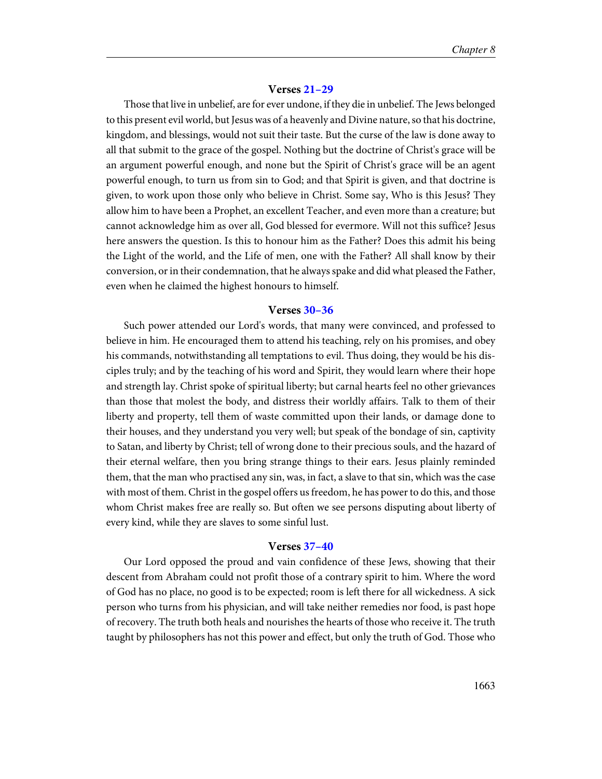# **Verses [21–29](http://www.ccel.org/study/Bible:John.8.21-John.8.29)**

Those that live in unbelief, are for ever undone, if they die in unbelief. The Jews belonged to this present evil world, but Jesus was of a heavenly and Divine nature, so that his doctrine, kingdom, and blessings, would not suit their taste. But the curse of the law is done away to all that submit to the grace of the gospel. Nothing but the doctrine of Christ's grace will be an argument powerful enough, and none but the Spirit of Christ's grace will be an agent powerful enough, to turn us from sin to God; and that Spirit is given, and that doctrine is given, to work upon those only who believe in Christ. Some say, Who is this Jesus? They allow him to have been a Prophet, an excellent Teacher, and even more than a creature; but cannot acknowledge him as over all, God blessed for evermore. Will not this suffice? Jesus here answers the question. Is this to honour him as the Father? Does this admit his being the Light of the world, and the Life of men, one with the Father? All shall know by their conversion, or in their condemnation, that he always spake and did what pleased the Father, even when he claimed the highest honours to himself.

#### **Verses [30–36](http://www.ccel.org/study/Bible:John.8.30-John.8.36)**

Such power attended our Lord's words, that many were convinced, and professed to believe in him. He encouraged them to attend his teaching, rely on his promises, and obey his commands, notwithstanding all temptations to evil. Thus doing, they would be his disciples truly; and by the teaching of his word and Spirit, they would learn where their hope and strength lay. Christ spoke of spiritual liberty; but carnal hearts feel no other grievances than those that molest the body, and distress their worldly affairs. Talk to them of their liberty and property, tell them of waste committed upon their lands, or damage done to their houses, and they understand you very well; but speak of the bondage of sin, captivity to Satan, and liberty by Christ; tell of wrong done to their precious souls, and the hazard of their eternal welfare, then you bring strange things to their ears. Jesus plainly reminded them, that the man who practised any sin, was, in fact, a slave to that sin, which was the case with most of them. Christ in the gospel offers us freedom, he has power to do this, and those whom Christ makes free are really so. But often we see persons disputing about liberty of every kind, while they are slaves to some sinful lust.

## **Verses [37–40](http://www.ccel.org/study/Bible:John.8.37-John.8.40)**

Our Lord opposed the proud and vain confidence of these Jews, showing that their descent from Abraham could not profit those of a contrary spirit to him. Where the word of God has no place, no good is to be expected; room is left there for all wickedness. A sick person who turns from his physician, and will take neither remedies nor food, is past hope of recovery. The truth both heals and nourishes the hearts of those who receive it. The truth taught by philosophers has not this power and effect, but only the truth of God. Those who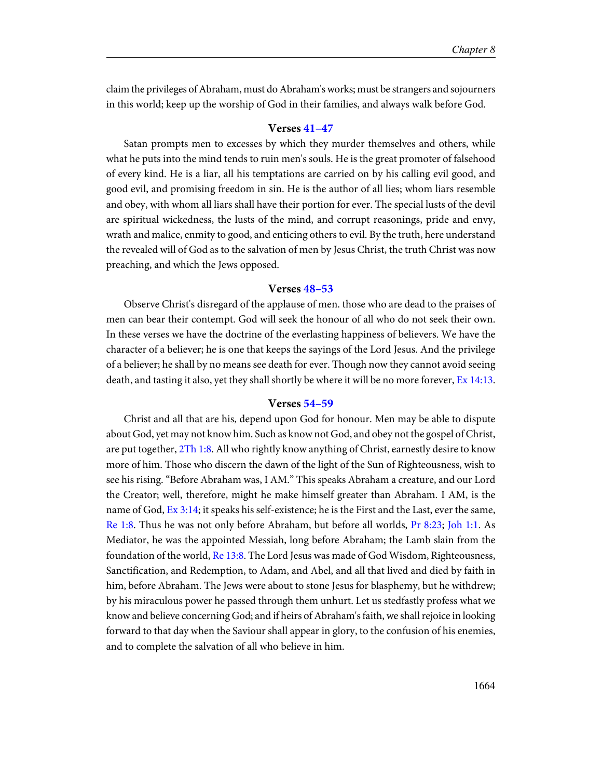claim the privileges of Abraham, must do Abraham's works; must be strangers and sojourners in this world; keep up the worship of God in their families, and always walk before God.

## **Verses [41–47](http://www.ccel.org/study/Bible:John.8.41-John.8.47)**

Satan prompts men to excesses by which they murder themselves and others, while what he puts into the mind tends to ruin men's souls. He is the great promoter of falsehood of every kind. He is a liar, all his temptations are carried on by his calling evil good, and good evil, and promising freedom in sin. He is the author of all lies; whom liars resemble and obey, with whom all liars shall have their portion for ever. The special lusts of the devil are spiritual wickedness, the lusts of the mind, and corrupt reasonings, pride and envy, wrath and malice, enmity to good, and enticing others to evil. By the truth, here understand the revealed will of God as to the salvation of men by Jesus Christ, the truth Christ was now preaching, and which the Jews opposed.

#### **Verses [48–53](http://www.ccel.org/study/Bible:John.8.48-John.8.53)**

Observe Christ's disregard of the applause of men. those who are dead to the praises of men can bear their contempt. God will seek the honour of all who do not seek their own. In these verses we have the doctrine of the everlasting happiness of believers. We have the character of a believer; he is one that keeps the sayings of the Lord Jesus. And the privilege of a believer; he shall by no means see death for ever. Though now they cannot avoid seeing death, and tasting it also, yet they shall shortly be where it will be no more forever,  $Ex\ 14:13$ .

# **Verses [54–59](http://www.ccel.org/study/Bible:John.8.54-John.8.59)**

Christ and all that are his, depend upon God for honour. Men may be able to dispute about God, yet may not know him. Such as know not God, and obey not the gospel of Christ, are put together, [2Th 1:8](http://www.ccel.org/study/Bible:2Thess.1.8). All who rightly know anything of Christ, earnestly desire to know more of him. Those who discern the dawn of the light of the Sun of Righteousness, wish to see his rising. "Before Abraham was, I AM." This speaks Abraham a creature, and our Lord the Creator; well, therefore, might he make himself greater than Abraham. I AM, is the name of God, [Ex 3:14;](http://www.ccel.org/study/Bible:Exod.3.14) it speaks his self-existence; he is the First and the Last, ever the same, [Re 1:8.](http://www.ccel.org/study/Bible:Rev.1.8) Thus he was not only before Abraham, but before all worlds, [Pr 8:23;](http://www.ccel.org/study/Bible:Prov.8.23) [Joh 1:1.](http://www.ccel.org/study/Bible:John.1.1) As Mediator, he was the appointed Messiah, long before Abraham; the Lamb slain from the foundation of the world, [Re 13:8.](http://www.ccel.org/study/Bible:Rev.13.8) The Lord Jesus was made of God Wisdom, Righteousness, Sanctification, and Redemption, to Adam, and Abel, and all that lived and died by faith in him, before Abraham. The Jews were about to stone Jesus for blasphemy, but he withdrew; by his miraculous power he passed through them unhurt. Let us stedfastly profess what we know and believe concerning God; and if heirs of Abraham's faith, we shall rejoice in looking forward to that day when the Saviour shall appear in glory, to the confusion of his enemies, and to complete the salvation of all who believe in him.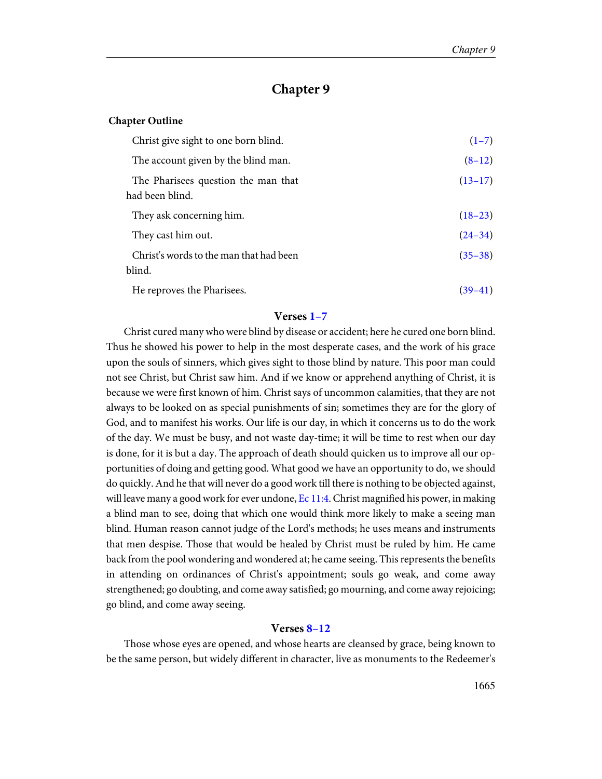## **Chapter Outline**

| Christ give sight to one born blind.                   | $(1-7)$     |
|--------------------------------------------------------|-------------|
| The account given by the blind man.                    | $(8-12)$    |
| The Pharisees question the man that<br>had been blind. | $(13-17)$   |
| They ask concerning him.                               | $(18-23)$   |
| They cast him out.                                     | $(24-34)$   |
| Christ's words to the man that had been<br>blind.      | $(35 - 38)$ |
| He reproves the Pharisees.                             | $(39-41)$   |
|                                                        |             |

# **Verses [1–7](http://www.ccel.org/study/Bible:John.9.1-John.9.7)**

Christ cured many who were blind by disease or accident; here he cured one born blind. Thus he showed his power to help in the most desperate cases, and the work of his grace upon the souls of sinners, which gives sight to those blind by nature. This poor man could not see Christ, but Christ saw him. And if we know or apprehend anything of Christ, it is because we were first known of him. Christ says of uncommon calamities, that they are not always to be looked on as special punishments of sin; sometimes they are for the glory of God, and to manifest his works. Our life is our day, in which it concerns us to do the work of the day. We must be busy, and not waste day-time; it will be time to rest when our day is done, for it is but a day. The approach of death should quicken us to improve all our opportunities of doing and getting good. What good we have an opportunity to do, we should do quickly. And he that will never do a good work till there is nothing to be objected against, will leave many a good work for ever undone,  $Ec 11:4$ . Christ magnified his power, in making a blind man to see, doing that which one would think more likely to make a seeing man blind. Human reason cannot judge of the Lord's methods; he uses means and instruments that men despise. Those that would be healed by Christ must be ruled by him. He came back from the pool wondering and wondered at; he came seeing. This represents the benefits in attending on ordinances of Christ's appointment; souls go weak, and come away strengthened; go doubting, and come away satisfied; go mourning, and come away rejoicing; go blind, and come away seeing.

## **Verses [8–12](http://www.ccel.org/study/Bible:John.9.8-John.9.12)**

Those whose eyes are opened, and whose hearts are cleansed by grace, being known to be the same person, but widely different in character, live as monuments to the Redeemer's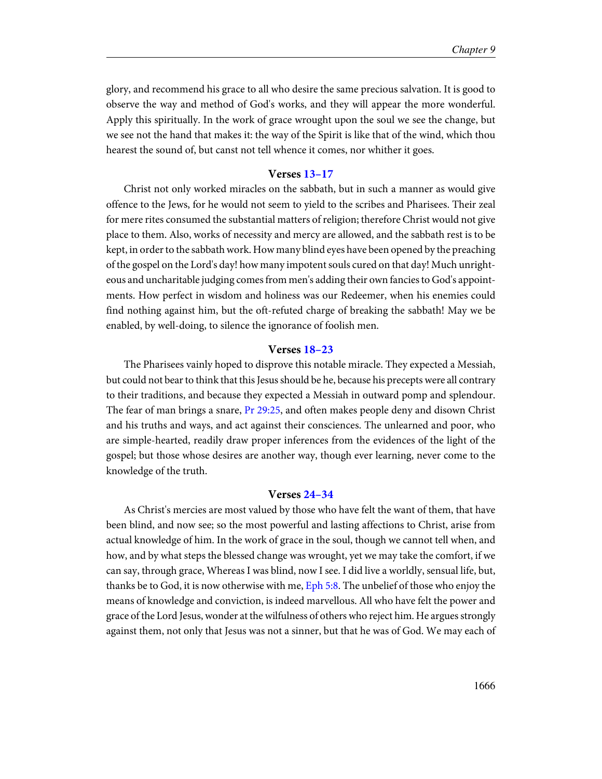glory, and recommend his grace to all who desire the same precious salvation. It is good to observe the way and method of God's works, and they will appear the more wonderful. Apply this spiritually. In the work of grace wrought upon the soul we see the change, but we see not the hand that makes it: the way of the Spirit is like that of the wind, which thou hearest the sound of, but canst not tell whence it comes, nor whither it goes.

#### **Verses [13–17](http://www.ccel.org/study/Bible:John.9.13-John.9.17)**

Christ not only worked miracles on the sabbath, but in such a manner as would give offence to the Jews, for he would not seem to yield to the scribes and Pharisees. Their zeal for mere rites consumed the substantial matters of religion; therefore Christ would not give place to them. Also, works of necessity and mercy are allowed, and the sabbath rest is to be kept, in order to the sabbath work. How many blind eyes have been opened by the preaching of the gospel on the Lord's day! how many impotent souls cured on that day! Much unrighteous and uncharitable judging comes from men's adding their own fancies to God's appointments. How perfect in wisdom and holiness was our Redeemer, when his enemies could find nothing against him, but the oft-refuted charge of breaking the sabbath! May we be enabled, by well-doing, to silence the ignorance of foolish men.

#### **Verses [18–23](http://www.ccel.org/study/Bible:John.9.18-John.9.23)**

The Pharisees vainly hoped to disprove this notable miracle. They expected a Messiah, but could not bear to think that this Jesus should be he, because his precepts were all contrary to their traditions, and because they expected a Messiah in outward pomp and splendour. The fear of man brings a snare, [Pr 29:25](http://www.ccel.org/study/Bible:Prov.29.25), and often makes people deny and disown Christ and his truths and ways, and act against their consciences. The unlearned and poor, who are simple-hearted, readily draw proper inferences from the evidences of the light of the gospel; but those whose desires are another way, though ever learning, never come to the knowledge of the truth.

## **Verses [24–34](http://www.ccel.org/study/Bible:John.9.24-John.9.34)**

As Christ's mercies are most valued by those who have felt the want of them, that have been blind, and now see; so the most powerful and lasting affections to Christ, arise from actual knowledge of him. In the work of grace in the soul, though we cannot tell when, and how, and by what steps the blessed change was wrought, yet we may take the comfort, if we can say, through grace, Whereas I was blind, now I see. I did live a worldly, sensual life, but, thanks be to God, it is now otherwise with me, [Eph 5:8](http://www.ccel.org/study/Bible:Eph.5.8). The unbelief of those who enjoy the means of knowledge and conviction, is indeed marvellous. All who have felt the power and grace of the Lord Jesus, wonder at the wilfulness of others who reject him. He argues strongly against them, not only that Jesus was not a sinner, but that he was of God. We may each of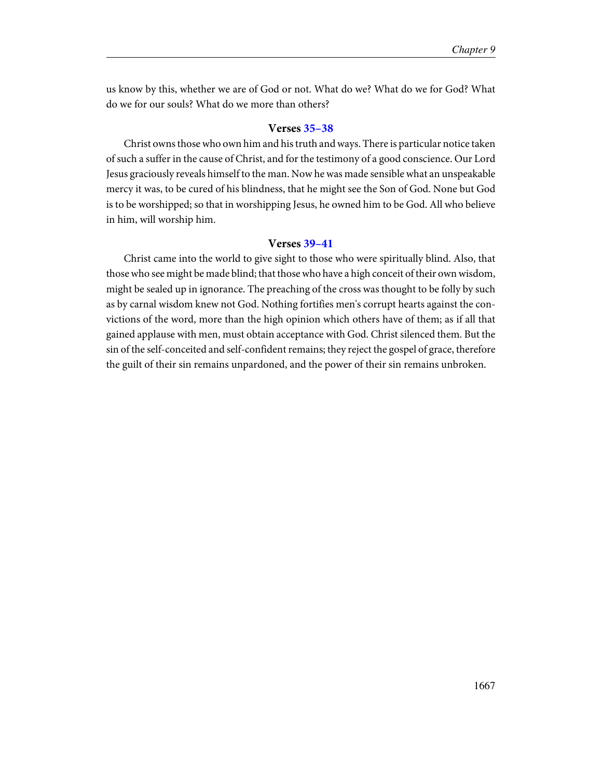us know by this, whether we are of God or not. What do we? What do we for God? What do we for our souls? What do we more than others?

# **Verses [35–38](http://www.ccel.org/study/Bible:John.9.35-John.9.38)**

Christ owns those who own him and his truth and ways. There is particular notice taken of such a suffer in the cause of Christ, and for the testimony of a good conscience. Our Lord Jesus graciously reveals himself to the man. Now he was made sensible what an unspeakable mercy it was, to be cured of his blindness, that he might see the Son of God. None but God is to be worshipped; so that in worshipping Jesus, he owned him to be God. All who believe in him, will worship him.

# **Verses [39–41](http://www.ccel.org/study/Bible:John.9.39-John.9.41)**

Christ came into the world to give sight to those who were spiritually blind. Also, that those who see might be made blind; that those who have a high conceit of their own wisdom, might be sealed up in ignorance. The preaching of the cross was thought to be folly by such as by carnal wisdom knew not God. Nothing fortifies men's corrupt hearts against the convictions of the word, more than the high opinion which others have of them; as if all that gained applause with men, must obtain acceptance with God. Christ silenced them. But the sin of the self-conceited and self-confident remains; they reject the gospel of grace, therefore the guilt of their sin remains unpardoned, and the power of their sin remains unbroken.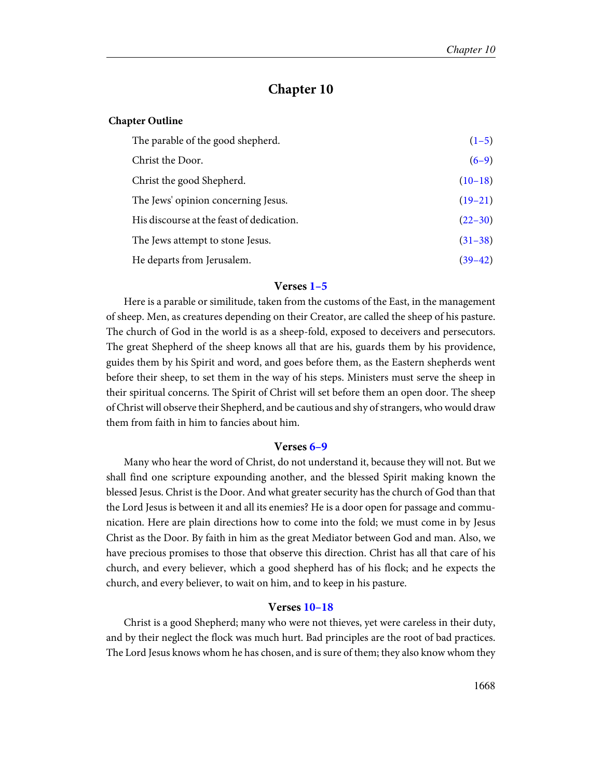#### **Chapter Outline**

| The parable of the good shepherd.         | $(1-5)$     |
|-------------------------------------------|-------------|
| Christ the Door.                          | $(6-9)$     |
| Christ the good Shepherd.                 | $(10-18)$   |
| The Jews' opinion concerning Jesus.       | $(19-21)$   |
| His discourse at the feast of dedication. | $(22 - 30)$ |
| The Jews attempt to stone Jesus.          | $(31-38)$   |
| He departs from Jerusalem.                | $(39 - 42)$ |

## **Verses [1–5](http://www.ccel.org/study/Bible:John.10.1-John.10.5)**

Here is a parable or similitude, taken from the customs of the East, in the management of sheep. Men, as creatures depending on their Creator, are called the sheep of his pasture. The church of God in the world is as a sheep-fold, exposed to deceivers and persecutors. The great Shepherd of the sheep knows all that are his, guards them by his providence, guides them by his Spirit and word, and goes before them, as the Eastern shepherds went before their sheep, to set them in the way of his steps. Ministers must serve the sheep in their spiritual concerns. The Spirit of Christ will set before them an open door. The sheep of Christ will observe their Shepherd, and be cautious and shy of strangers, who would draw them from faith in him to fancies about him.

#### **Verses [6–9](http://www.ccel.org/study/Bible:John.10.6-John.10.9)**

Many who hear the word of Christ, do not understand it, because they will not. But we shall find one scripture expounding another, and the blessed Spirit making known the blessed Jesus. Christ is the Door. And what greater security has the church of God than that the Lord Jesus is between it and all its enemies? He is a door open for passage and communication. Here are plain directions how to come into the fold; we must come in by Jesus Christ as the Door. By faith in him as the great Mediator between God and man. Also, we have precious promises to those that observe this direction. Christ has all that care of his church, and every believer, which a good shepherd has of his flock; and he expects the church, and every believer, to wait on him, and to keep in his pasture.

# **Verses [10–18](http://www.ccel.org/study/Bible:John.10.10-John.10.18)**

Christ is a good Shepherd; many who were not thieves, yet were careless in their duty, and by their neglect the flock was much hurt. Bad principles are the root of bad practices. The Lord Jesus knows whom he has chosen, and is sure of them; they also know whom they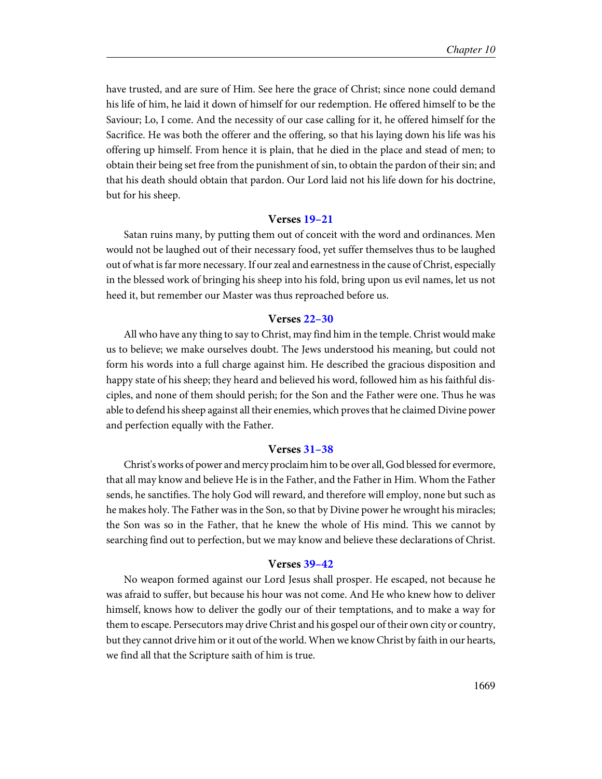have trusted, and are sure of Him. See here the grace of Christ; since none could demand his life of him, he laid it down of himself for our redemption. He offered himself to be the Saviour; Lo, I come. And the necessity of our case calling for it, he offered himself for the Sacrifice. He was both the offerer and the offering, so that his laying down his life was his offering up himself. From hence it is plain, that he died in the place and stead of men; to obtain their being set free from the punishment of sin, to obtain the pardon of their sin; and that his death should obtain that pardon. Our Lord laid not his life down for his doctrine, but for his sheep.

# **Verses [19–21](http://www.ccel.org/study/Bible:John.10.19-John.10.21)**

Satan ruins many, by putting them out of conceit with the word and ordinances. Men would not be laughed out of their necessary food, yet suffer themselves thus to be laughed out of what is far more necessary. If our zeal and earnestness in the cause of Christ, especially in the blessed work of bringing his sheep into his fold, bring upon us evil names, let us not heed it, but remember our Master was thus reproached before us.

## **Verses [22–30](http://www.ccel.org/study/Bible:John.10.22-John.10.30)**

All who have any thing to say to Christ, may find him in the temple. Christ would make us to believe; we make ourselves doubt. The Jews understood his meaning, but could not form his words into a full charge against him. He described the gracious disposition and happy state of his sheep; they heard and believed his word, followed him as his faithful disciples, and none of them should perish; for the Son and the Father were one. Thus he was able to defend his sheep against all their enemies, which proves that he claimed Divine power and perfection equally with the Father.

## **Verses [31–38](http://www.ccel.org/study/Bible:John.10.31-John.10.38)**

Christ's works of power and mercy proclaim him to be over all, God blessed for evermore, that all may know and believe He is in the Father, and the Father in Him. Whom the Father sends, he sanctifies. The holy God will reward, and therefore will employ, none but such as he makes holy. The Father was in the Son, so that by Divine power he wrought his miracles; the Son was so in the Father, that he knew the whole of His mind. This we cannot by searching find out to perfection, but we may know and believe these declarations of Christ.

## **Verses [39–42](http://www.ccel.org/study/Bible:John.10.39-John.10.42)**

No weapon formed against our Lord Jesus shall prosper. He escaped, not because he was afraid to suffer, but because his hour was not come. And He who knew how to deliver himself, knows how to deliver the godly our of their temptations, and to make a way for them to escape. Persecutors may drive Christ and his gospel our of their own city or country, but they cannot drive him or it out of the world. When we know Christ by faith in our hearts, we find all that the Scripture saith of him is true.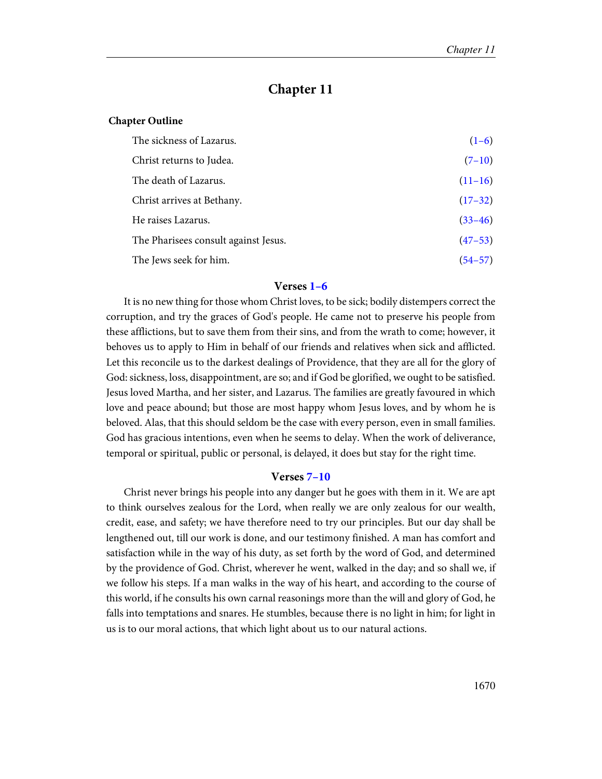#### **Chapter Outline**

| The sickness of Lazarus.             | $(1-6)$     |
|--------------------------------------|-------------|
| Christ returns to Judea.             | $(7-10)$    |
| The death of Lazarus.                | $(11-16)$   |
| Christ arrives at Bethany.           | $(17-32)$   |
| He raises Lazarus.                   | $(33-46)$   |
| The Pharisees consult against Jesus. | $(47-53)$   |
| The Jews seek for him.               | $(54 - 57)$ |

# **Verses [1–6](http://www.ccel.org/study/Bible:John.11.1-John.11.6)**

It is no new thing for those whom Christ loves, to be sick; bodily distempers correct the corruption, and try the graces of God's people. He came not to preserve his people from these afflictions, but to save them from their sins, and from the wrath to come; however, it behoves us to apply to Him in behalf of our friends and relatives when sick and afflicted. Let this reconcile us to the darkest dealings of Providence, that they are all for the glory of God: sickness, loss, disappointment, are so; and if God be glorified, we ought to be satisfied. Jesus loved Martha, and her sister, and Lazarus. The families are greatly favoured in which love and peace abound; but those are most happy whom Jesus loves, and by whom he is beloved. Alas, that this should seldom be the case with every person, even in small families. God has gracious intentions, even when he seems to delay. When the work of deliverance, temporal or spiritual, public or personal, is delayed, it does but stay for the right time.

### **Verses [7–10](http://www.ccel.org/study/Bible:John.11.7-John.11.10)**

Christ never brings his people into any danger but he goes with them in it. We are apt to think ourselves zealous for the Lord, when really we are only zealous for our wealth, credit, ease, and safety; we have therefore need to try our principles. But our day shall be lengthened out, till our work is done, and our testimony finished. A man has comfort and satisfaction while in the way of his duty, as set forth by the word of God, and determined by the providence of God. Christ, wherever he went, walked in the day; and so shall we, if we follow his steps. If a man walks in the way of his heart, and according to the course of this world, if he consults his own carnal reasonings more than the will and glory of God, he falls into temptations and snares. He stumbles, because there is no light in him; for light in us is to our moral actions, that which light about us to our natural actions.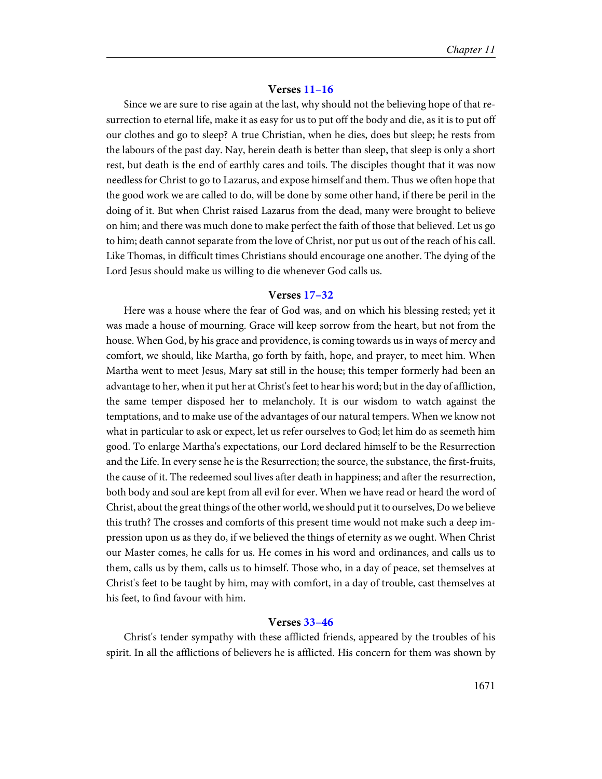# **Verses [11–16](http://www.ccel.org/study/Bible:John.11.11-John.11.16)**

Since we are sure to rise again at the last, why should not the believing hope of that resurrection to eternal life, make it as easy for us to put off the body and die, as it is to put off our clothes and go to sleep? A true Christian, when he dies, does but sleep; he rests from the labours of the past day. Nay, herein death is better than sleep, that sleep is only a short rest, but death is the end of earthly cares and toils. The disciples thought that it was now needless for Christ to go to Lazarus, and expose himself and them. Thus we often hope that the good work we are called to do, will be done by some other hand, if there be peril in the doing of it. But when Christ raised Lazarus from the dead, many were brought to believe on him; and there was much done to make perfect the faith of those that believed. Let us go to him; death cannot separate from the love of Christ, nor put us out of the reach of his call. Like Thomas, in difficult times Christians should encourage one another. The dying of the Lord Jesus should make us willing to die whenever God calls us.

## **Verses [17–32](http://www.ccel.org/study/Bible:John.11.17-John.11.32)**

Here was a house where the fear of God was, and on which his blessing rested; yet it was made a house of mourning. Grace will keep sorrow from the heart, but not from the house. When God, by his grace and providence, is coming towards us in ways of mercy and comfort, we should, like Martha, go forth by faith, hope, and prayer, to meet him. When Martha went to meet Jesus, Mary sat still in the house; this temper formerly had been an advantage to her, when it put her at Christ's feet to hear his word; but in the day of affliction, the same temper disposed her to melancholy. It is our wisdom to watch against the temptations, and to make use of the advantages of our natural tempers. When we know not what in particular to ask or expect, let us refer ourselves to God; let him do as seemeth him good. To enlarge Martha's expectations, our Lord declared himself to be the Resurrection and the Life. In every sense he is the Resurrection; the source, the substance, the first-fruits, the cause of it. The redeemed soul lives after death in happiness; and after the resurrection, both body and soul are kept from all evil for ever. When we have read or heard the word of Christ, about the great things of the other world, we should put it to ourselves, Do we believe this truth? The crosses and comforts of this present time would not make such a deep impression upon us as they do, if we believed the things of eternity as we ought. When Christ our Master comes, he calls for us. He comes in his word and ordinances, and calls us to them, calls us by them, calls us to himself. Those who, in a day of peace, set themselves at Christ's feet to be taught by him, may with comfort, in a day of trouble, cast themselves at his feet, to find favour with him.

# **Verses [33–46](http://www.ccel.org/study/Bible:John.11.33-John.11.46)**

Christ's tender sympathy with these afflicted friends, appeared by the troubles of his spirit. In all the afflictions of believers he is afflicted. His concern for them was shown by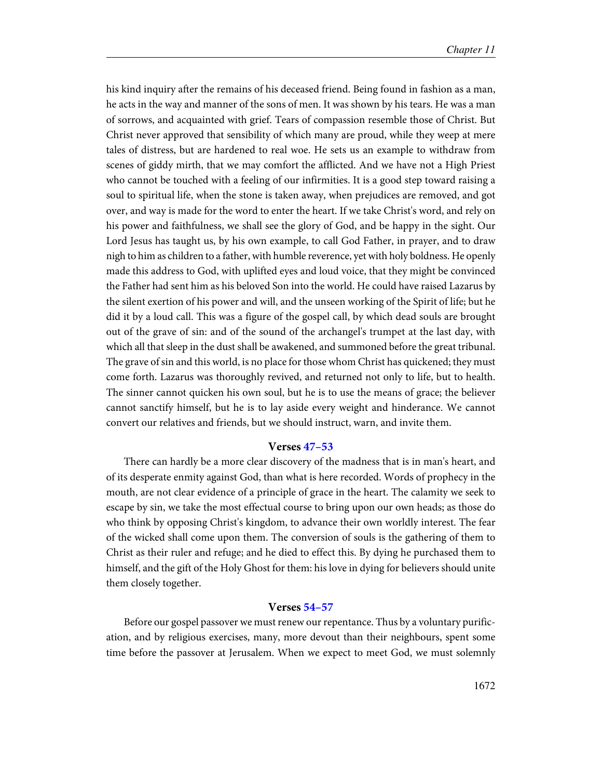his kind inquiry after the remains of his deceased friend. Being found in fashion as a man, he acts in the way and manner of the sons of men. It was shown by his tears. He was a man of sorrows, and acquainted with grief. Tears of compassion resemble those of Christ. But Christ never approved that sensibility of which many are proud, while they weep at mere tales of distress, but are hardened to real woe. He sets us an example to withdraw from scenes of giddy mirth, that we may comfort the afflicted. And we have not a High Priest who cannot be touched with a feeling of our infirmities. It is a good step toward raising a soul to spiritual life, when the stone is taken away, when prejudices are removed, and got over, and way is made for the word to enter the heart. If we take Christ's word, and rely on his power and faithfulness, we shall see the glory of God, and be happy in the sight. Our Lord Jesus has taught us, by his own example, to call God Father, in prayer, and to draw nigh to him as children to a father, with humble reverence, yet with holy boldness. He openly made this address to God, with uplifted eyes and loud voice, that they might be convinced the Father had sent him as his beloved Son into the world. He could have raised Lazarus by the silent exertion of his power and will, and the unseen working of the Spirit of life; but he did it by a loud call. This was a figure of the gospel call, by which dead souls are brought out of the grave of sin: and of the sound of the archangel's trumpet at the last day, with which all that sleep in the dust shall be awakened, and summoned before the great tribunal. The grave of sin and this world, is no place for those whom Christ has quickened; they must come forth. Lazarus was thoroughly revived, and returned not only to life, but to health. The sinner cannot quicken his own soul, but he is to use the means of grace; the believer cannot sanctify himself, but he is to lay aside every weight and hinderance. We cannot convert our relatives and friends, but we should instruct, warn, and invite them.

## **Verses [47–53](http://www.ccel.org/study/Bible:John.11.47-John.11.53)**

There can hardly be a more clear discovery of the madness that is in man's heart, and of its desperate enmity against God, than what is here recorded. Words of prophecy in the mouth, are not clear evidence of a principle of grace in the heart. The calamity we seek to escape by sin, we take the most effectual course to bring upon our own heads; as those do who think by opposing Christ's kingdom, to advance their own worldly interest. The fear of the wicked shall come upon them. The conversion of souls is the gathering of them to Christ as their ruler and refuge; and he died to effect this. By dying he purchased them to himself, and the gift of the Holy Ghost for them: his love in dying for believers should unite them closely together.

# **Verses [54–57](http://www.ccel.org/study/Bible:John.11.54-John.11.57)**

Before our gospel passover we must renew our repentance. Thus by a voluntary purification, and by religious exercises, many, more devout than their neighbours, spent some time before the passover at Jerusalem. When we expect to meet God, we must solemnly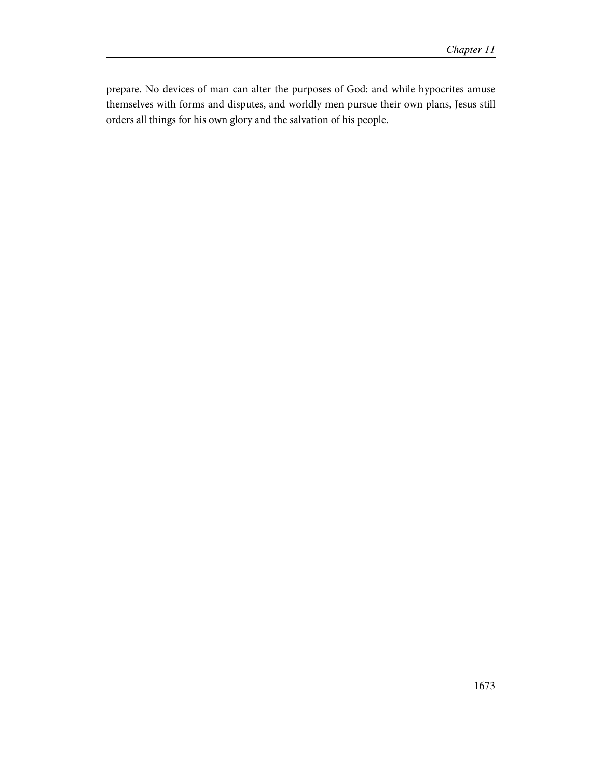prepare. No devices of man can alter the purposes of God: and while hypocrites amuse themselves with forms and disputes, and worldly men pursue their own plans, Jesus still orders all things for his own glory and the salvation of his people.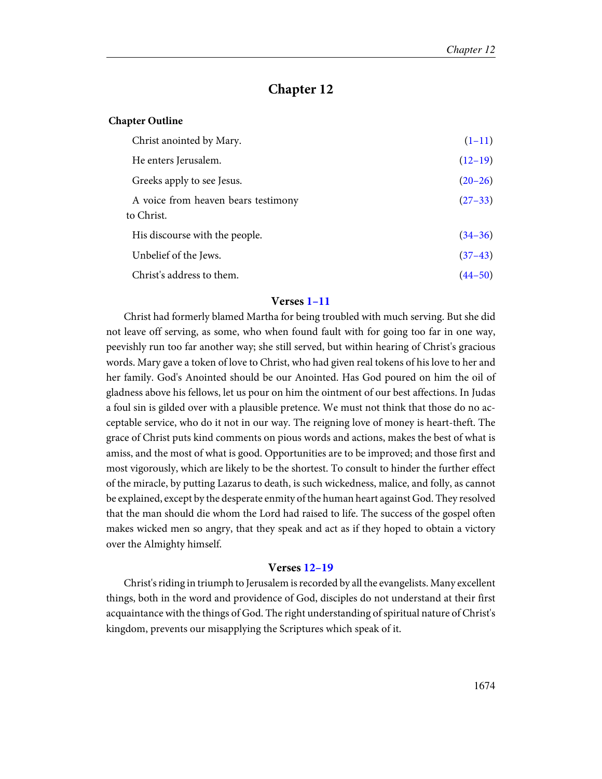## **Chapter Outline**

| Christ anointed by Mary.                          | $(1-11)$    |
|---------------------------------------------------|-------------|
| He enters Jerusalem.                              | $(12-19)$   |
| Greeks apply to see Jesus.                        | $(20-26)$   |
| A voice from heaven bears testimony<br>to Christ. | $(27-33)$   |
| His discourse with the people.                    | $(34 - 36)$ |
| Unbelief of the Jews.                             | $(37-43)$   |
| Christ's address to them.                         | $(44 - 50)$ |

# **Verses [1–11](http://www.ccel.org/study/Bible:John.12.1-John.12.11)**

Christ had formerly blamed Martha for being troubled with much serving. But she did not leave off serving, as some, who when found fault with for going too far in one way, peevishly run too far another way; she still served, but within hearing of Christ's gracious words. Mary gave a token of love to Christ, who had given real tokens of his love to her and her family. God's Anointed should be our Anointed. Has God poured on him the oil of gladness above his fellows, let us pour on him the ointment of our best affections. In Judas a foul sin is gilded over with a plausible pretence. We must not think that those do no acceptable service, who do it not in our way. The reigning love of money is heart-theft. The grace of Christ puts kind comments on pious words and actions, makes the best of what is amiss, and the most of what is good. Opportunities are to be improved; and those first and most vigorously, which are likely to be the shortest. To consult to hinder the further effect of the miracle, by putting Lazarus to death, is such wickedness, malice, and folly, as cannot be explained, except by the desperate enmity of the human heart against God. They resolved that the man should die whom the Lord had raised to life. The success of the gospel often makes wicked men so angry, that they speak and act as if they hoped to obtain a victory over the Almighty himself.

# **Verses [12–19](http://www.ccel.org/study/Bible:John.12.12-John.12.19)**

Christ's riding in triumph to Jerusalem is recorded by all the evangelists. Many excellent things, both in the word and providence of God, disciples do not understand at their first acquaintance with the things of God. The right understanding of spiritual nature of Christ's kingdom, prevents our misapplying the Scriptures which speak of it.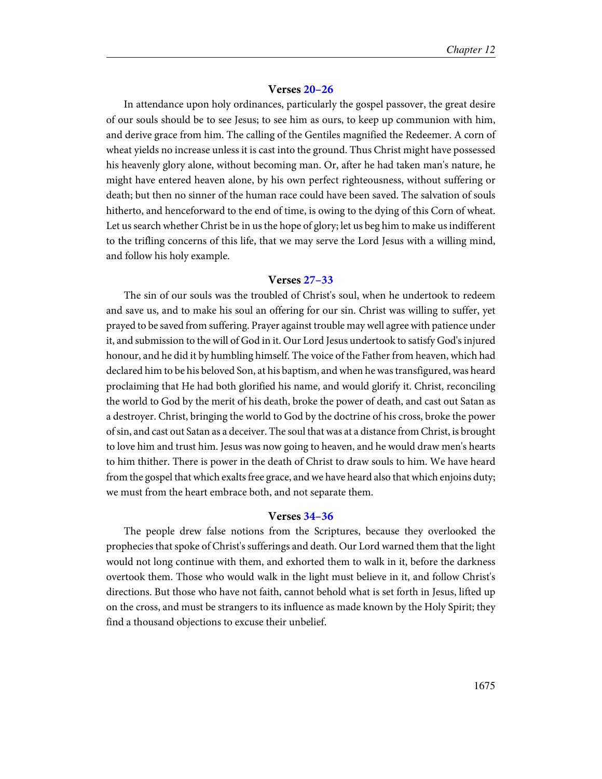## **Verses [20–26](http://www.ccel.org/study/Bible:John.12.20-John.12.26)**

In attendance upon holy ordinances, particularly the gospel passover, the great desire of our souls should be to see Jesus; to see him as ours, to keep up communion with him, and derive grace from him. The calling of the Gentiles magnified the Redeemer. A corn of wheat yields no increase unless it is cast into the ground. Thus Christ might have possessed his heavenly glory alone, without becoming man. Or, after he had taken man's nature, he might have entered heaven alone, by his own perfect righteousness, without suffering or death; but then no sinner of the human race could have been saved. The salvation of souls hitherto, and henceforward to the end of time, is owing to the dying of this Corn of wheat. Let us search whether Christ be in us the hope of glory; let us beg him to make us indifferent to the trifling concerns of this life, that we may serve the Lord Jesus with a willing mind, and follow his holy example.

## **Verses [27–33](http://www.ccel.org/study/Bible:John.12.27-John.12.33)**

The sin of our souls was the troubled of Christ's soul, when he undertook to redeem and save us, and to make his soul an offering for our sin. Christ was willing to suffer, yet prayed to be saved from suffering. Prayer against trouble may well agree with patience under it, and submission to the will of God in it. Our Lord Jesus undertook to satisfy God's injured honour, and he did it by humbling himself. The voice of the Father from heaven, which had declared him to be his beloved Son, at his baptism, and when he was transfigured, was heard proclaiming that He had both glorified his name, and would glorify it. Christ, reconciling the world to God by the merit of his death, broke the power of death, and cast out Satan as a destroyer. Christ, bringing the world to God by the doctrine of his cross, broke the power of sin, and cast out Satan as a deceiver. The soul that was at a distance from Christ, is brought to love him and trust him. Jesus was now going to heaven, and he would draw men's hearts to him thither. There is power in the death of Christ to draw souls to him. We have heard from the gospel that which exalts free grace, and we have heard also that which enjoins duty; we must from the heart embrace both, and not separate them.

#### **Verses [34–36](http://www.ccel.org/study/Bible:John.12.34-John.12.36)**

The people drew false notions from the Scriptures, because they overlooked the prophecies that spoke of Christ's sufferings and death. Our Lord warned them that the light would not long continue with them, and exhorted them to walk in it, before the darkness overtook them. Those who would walk in the light must believe in it, and follow Christ's directions. But those who have not faith, cannot behold what is set forth in Jesus, lifted up on the cross, and must be strangers to its influence as made known by the Holy Spirit; they find a thousand objections to excuse their unbelief.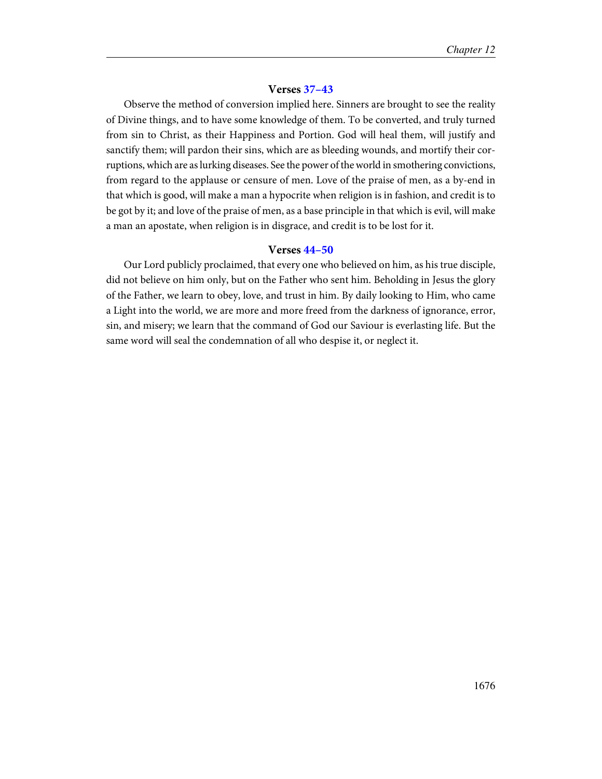# **Verses [37–43](http://www.ccel.org/study/Bible:John.12.37-John.12.43)**

Observe the method of conversion implied here. Sinners are brought to see the reality of Divine things, and to have some knowledge of them. To be converted, and truly turned from sin to Christ, as their Happiness and Portion. God will heal them, will justify and sanctify them; will pardon their sins, which are as bleeding wounds, and mortify their corruptions, which are as lurking diseases. See the power of the world in smothering convictions, from regard to the applause or censure of men. Love of the praise of men, as a by-end in that which is good, will make a man a hypocrite when religion is in fashion, and credit is to be got by it; and love of the praise of men, as a base principle in that which is evil, will make a man an apostate, when religion is in disgrace, and credit is to be lost for it.

## **Verses [44–50](http://www.ccel.org/study/Bible:John.12.44-John.12.50)**

Our Lord publicly proclaimed, that every one who believed on him, as his true disciple, did not believe on him only, but on the Father who sent him. Beholding in Jesus the glory of the Father, we learn to obey, love, and trust in him. By daily looking to Him, who came a Light into the world, we are more and more freed from the darkness of ignorance, error, sin, and misery; we learn that the command of God our Saviour is everlasting life. But the same word will seal the condemnation of all who despise it, or neglect it.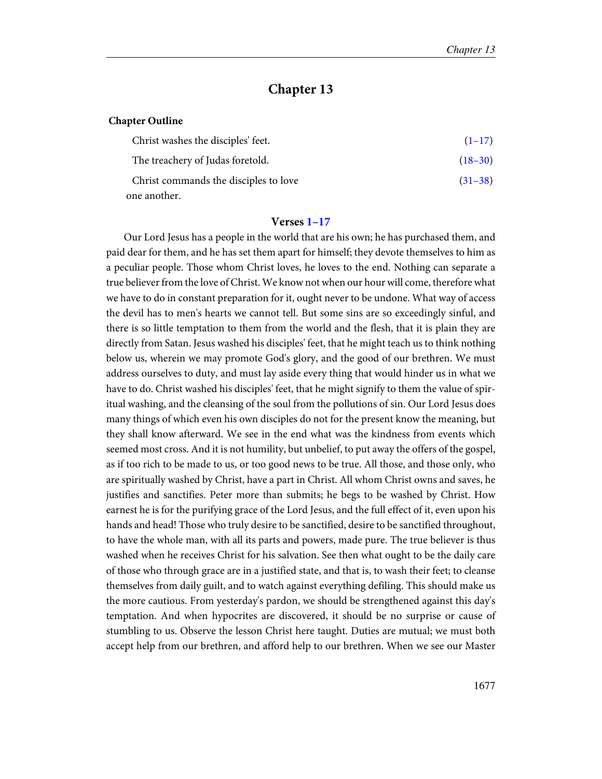#### **Chapter Outline**

| Christ washes the disciples' feet.    | $(1-17)$    |
|---------------------------------------|-------------|
| The treachery of Judas foretold.      | $(18-30)$   |
| Christ commands the disciples to love | $(31 - 38)$ |
| one another.                          |             |

# **Verses [1–17](http://www.ccel.org/study/Bible:John.13.1-John.13.17)**

Our Lord Jesus has a people in the world that are his own; he has purchased them, and paid dear for them, and he has set them apart for himself; they devote themselves to him as a peculiar people. Those whom Christ loves, he loves to the end. Nothing can separate a true believer from the love of Christ. We know not when our hour will come, therefore what we have to do in constant preparation for it, ought never to be undone. What way of access the devil has to men's hearts we cannot tell. But some sins are so exceedingly sinful, and there is so little temptation to them from the world and the flesh, that it is plain they are directly from Satan. Jesus washed his disciples' feet, that he might teach us to think nothing below us, wherein we may promote God's glory, and the good of our brethren. We must address ourselves to duty, and must lay aside every thing that would hinder us in what we have to do. Christ washed his disciples' feet, that he might signify to them the value of spiritual washing, and the cleansing of the soul from the pollutions of sin. Our Lord Jesus does many things of which even his own disciples do not for the present know the meaning, but they shall know afterward. We see in the end what was the kindness from events which seemed most cross. And it is not humility, but unbelief, to put away the offers of the gospel, as if too rich to be made to us, or too good news to be true. All those, and those only, who are spiritually washed by Christ, have a part in Christ. All whom Christ owns and saves, he justifies and sanctifies. Peter more than submits; he begs to be washed by Christ. How earnest he is for the purifying grace of the Lord Jesus, and the full effect of it, even upon his hands and head! Those who truly desire to be sanctified, desire to be sanctified throughout, to have the whole man, with all its parts and powers, made pure. The true believer is thus washed when he receives Christ for his salvation. See then what ought to be the daily care of those who through grace are in a justified state, and that is, to wash their feet; to cleanse themselves from daily guilt, and to watch against everything defiling. This should make us the more cautious. From yesterday's pardon, we should be strengthened against this day's temptation. And when hypocrites are discovered, it should be no surprise or cause of stumbling to us. Observe the lesson Christ here taught. Duties are mutual; we must both accept help from our brethren, and afford help to our brethren. When we see our Master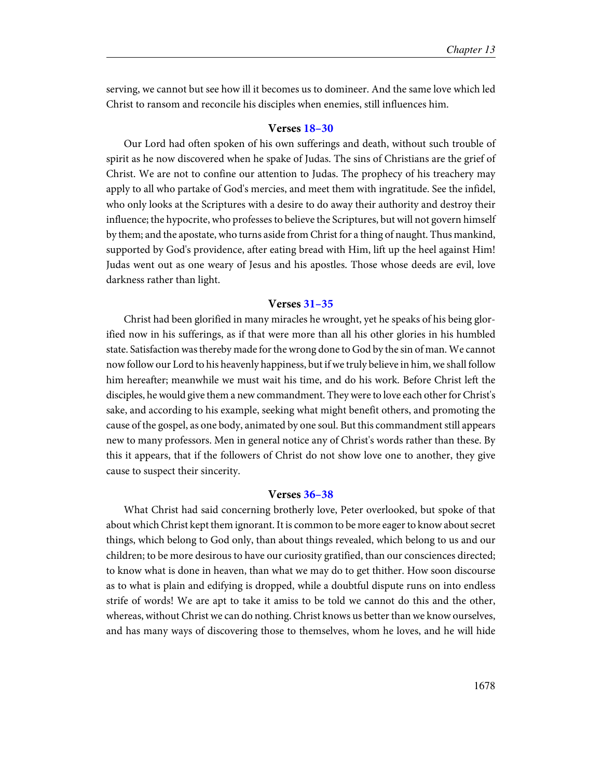serving, we cannot but see how ill it becomes us to domineer. And the same love which led Christ to ransom and reconcile his disciples when enemies, still influences him.

## **Verses [18–30](http://www.ccel.org/study/Bible:John.13.18-John.13.30)**

Our Lord had often spoken of his own sufferings and death, without such trouble of spirit as he now discovered when he spake of Judas. The sins of Christians are the grief of Christ. We are not to confine our attention to Judas. The prophecy of his treachery may apply to all who partake of God's mercies, and meet them with ingratitude. See the infidel, who only looks at the Scriptures with a desire to do away their authority and destroy their influence; the hypocrite, who professes to believe the Scriptures, but will not govern himself by them; and the apostate, who turns aside from Christ for a thing of naught. Thus mankind, supported by God's providence, after eating bread with Him, lift up the heel against Him! Judas went out as one weary of Jesus and his apostles. Those whose deeds are evil, love darkness rather than light.

# **Verses [31–35](http://www.ccel.org/study/Bible:John.13.31-John.13.35)**

Christ had been glorified in many miracles he wrought, yet he speaks of his being glorified now in his sufferings, as if that were more than all his other glories in his humbled state. Satisfaction was thereby made for the wrong done to God by the sin of man. We cannot now follow our Lord to his heavenly happiness, but if we truly believe in him, we shall follow him hereafter; meanwhile we must wait his time, and do his work. Before Christ left the disciples, he would give them a new commandment. They were to love each other for Christ's sake, and according to his example, seeking what might benefit others, and promoting the cause of the gospel, as one body, animated by one soul. But this commandment still appears new to many professors. Men in general notice any of Christ's words rather than these. By this it appears, that if the followers of Christ do not show love one to another, they give cause to suspect their sincerity.

#### **Verses [36–38](http://www.ccel.org/study/Bible:John.13.36-John.13.38)**

What Christ had said concerning brotherly love, Peter overlooked, but spoke of that about which Christ kept them ignorant. It is common to be more eager to know about secret things, which belong to God only, than about things revealed, which belong to us and our children; to be more desirous to have our curiosity gratified, than our consciences directed; to know what is done in heaven, than what we may do to get thither. How soon discourse as to what is plain and edifying is dropped, while a doubtful dispute runs on into endless strife of words! We are apt to take it amiss to be told we cannot do this and the other, whereas, without Christ we can do nothing. Christ knows us better than we know ourselves, and has many ways of discovering those to themselves, whom he loves, and he will hide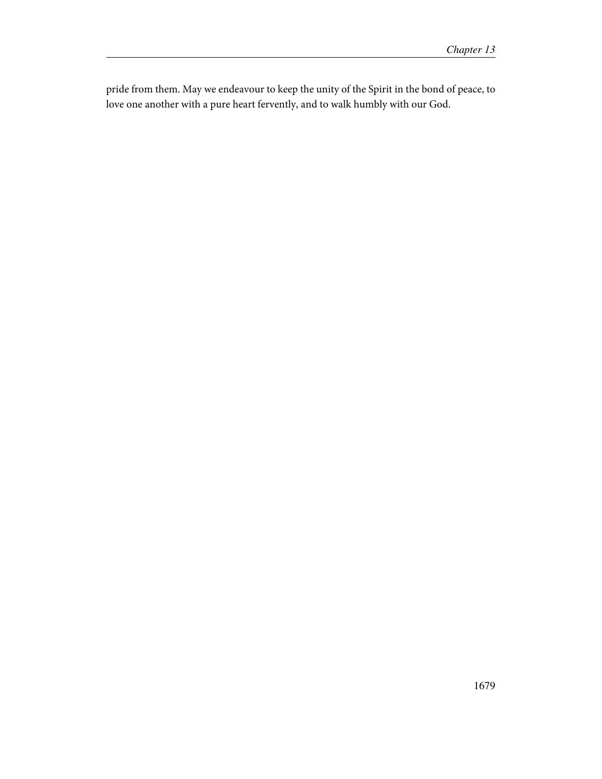pride from them. May we endeavour to keep the unity of the Spirit in the bond of peace, to love one another with a pure heart fervently, and to walk humbly with our God.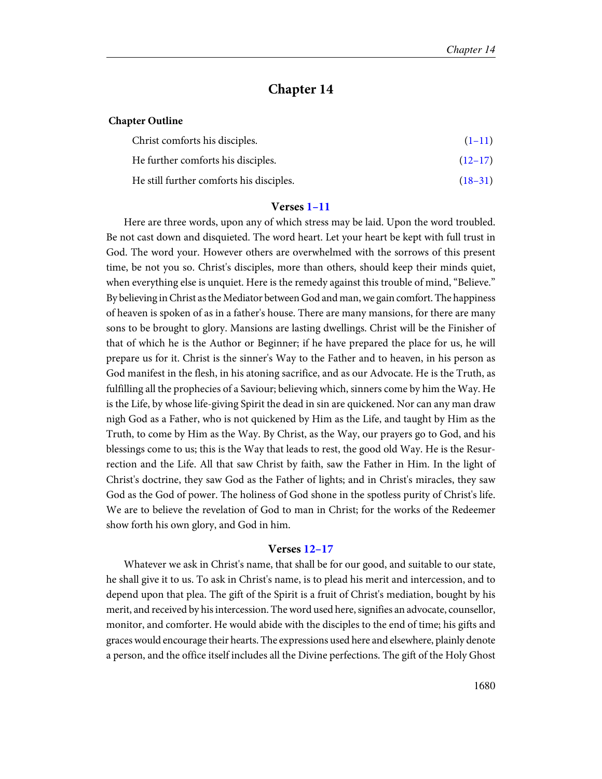#### **Chapter Outline**

| Christ comforts his disciples.           | $(1-11)$  |
|------------------------------------------|-----------|
| He further comforts his disciples.       | $(12-17)$ |
| He still further comforts his disciples. | $(18-31)$ |

### **Verses [1–11](http://www.ccel.org/study/Bible:John.14.1-John.14.11)**

Here are three words, upon any of which stress may be laid. Upon the word troubled. Be not cast down and disquieted. The word heart. Let your heart be kept with full trust in God. The word your. However others are overwhelmed with the sorrows of this present time, be not you so. Christ's disciples, more than others, should keep their minds quiet, when everything else is unquiet. Here is the remedy against this trouble of mind, "Believe." By believing in Christ as the Mediator between God and man, we gain comfort. The happiness of heaven is spoken of as in a father's house. There are many mansions, for there are many sons to be brought to glory. Mansions are lasting dwellings. Christ will be the Finisher of that of which he is the Author or Beginner; if he have prepared the place for us, he will prepare us for it. Christ is the sinner's Way to the Father and to heaven, in his person as God manifest in the flesh, in his atoning sacrifice, and as our Advocate. He is the Truth, as fulfilling all the prophecies of a Saviour; believing which, sinners come by him the Way. He is the Life, by whose life-giving Spirit the dead in sin are quickened. Nor can any man draw nigh God as a Father, who is not quickened by Him as the Life, and taught by Him as the Truth, to come by Him as the Way. By Christ, as the Way, our prayers go to God, and his blessings come to us; this is the Way that leads to rest, the good old Way. He is the Resurrection and the Life. All that saw Christ by faith, saw the Father in Him. In the light of Christ's doctrine, they saw God as the Father of lights; and in Christ's miracles, they saw God as the God of power. The holiness of God shone in the spotless purity of Christ's life. We are to believe the revelation of God to man in Christ; for the works of the Redeemer show forth his own glory, and God in him.

## **Verses [12–17](http://www.ccel.org/study/Bible:John.14.12-John.14.17)**

Whatever we ask in Christ's name, that shall be for our good, and suitable to our state, he shall give it to us. To ask in Christ's name, is to plead his merit and intercession, and to depend upon that plea. The gift of the Spirit is a fruit of Christ's mediation, bought by his merit, and received by his intercession. The word used here, signifies an advocate, counsellor, monitor, and comforter. He would abide with the disciples to the end of time; his gifts and graces would encourage their hearts. The expressions used here and elsewhere, plainly denote a person, and the office itself includes all the Divine perfections. The gift of the Holy Ghost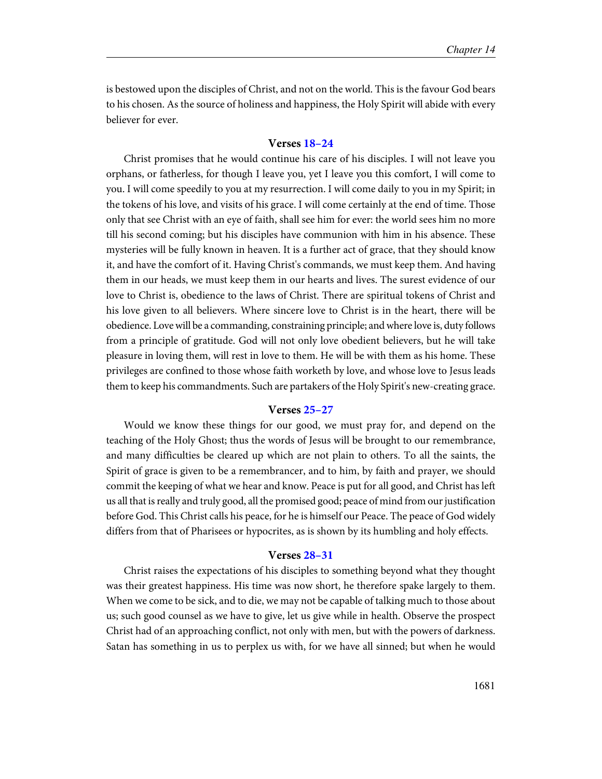is bestowed upon the disciples of Christ, and not on the world. This is the favour God bears to his chosen. As the source of holiness and happiness, the Holy Spirit will abide with every believer for ever.

### **Verses [18–24](http://www.ccel.org/study/Bible:John.14.18-John.14.24)**

Christ promises that he would continue his care of his disciples. I will not leave you orphans, or fatherless, for though I leave you, yet I leave you this comfort, I will come to you. I will come speedily to you at my resurrection. I will come daily to you in my Spirit; in the tokens of his love, and visits of his grace. I will come certainly at the end of time. Those only that see Christ with an eye of faith, shall see him for ever: the world sees him no more till his second coming; but his disciples have communion with him in his absence. These mysteries will be fully known in heaven. It is a further act of grace, that they should know it, and have the comfort of it. Having Christ's commands, we must keep them. And having them in our heads, we must keep them in our hearts and lives. The surest evidence of our love to Christ is, obedience to the laws of Christ. There are spiritual tokens of Christ and his love given to all believers. Where sincere love to Christ is in the heart, there will be obedience. Love will be a commanding, constraining principle; and where love is, duty follows from a principle of gratitude. God will not only love obedient believers, but he will take pleasure in loving them, will rest in love to them. He will be with them as his home. These privileges are confined to those whose faith worketh by love, and whose love to Jesus leads them to keep his commandments. Such are partakers of the Holy Spirit's new-creating grace.

#### **Verses [25–27](http://www.ccel.org/study/Bible:John.14.25-John.14.27)**

Would we know these things for our good, we must pray for, and depend on the teaching of the Holy Ghost; thus the words of Jesus will be brought to our remembrance, and many difficulties be cleared up which are not plain to others. To all the saints, the Spirit of grace is given to be a remembrancer, and to him, by faith and prayer, we should commit the keeping of what we hear and know. Peace is put for all good, and Christ has left us all that is really and truly good, all the promised good; peace of mind from our justification before God. This Christ calls his peace, for he is himself our Peace. The peace of God widely differs from that of Pharisees or hypocrites, as is shown by its humbling and holy effects.

#### **Verses [28–31](http://www.ccel.org/study/Bible:John.14.28-John.14.31)**

Christ raises the expectations of his disciples to something beyond what they thought was their greatest happiness. His time was now short, he therefore spake largely to them. When we come to be sick, and to die, we may not be capable of talking much to those about us; such good counsel as we have to give, let us give while in health. Observe the prospect Christ had of an approaching conflict, not only with men, but with the powers of darkness. Satan has something in us to perplex us with, for we have all sinned; but when he would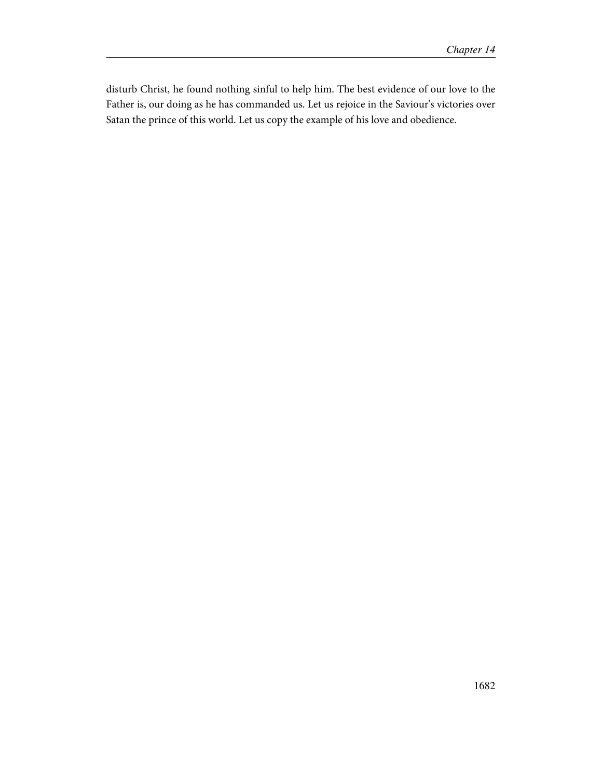disturb Christ, he found nothing sinful to help him. The best evidence of our love to the Father is, our doing as he has commanded us. Let us rejoice in the Saviour's victories over Satan the prince of this world. Let us copy the example of his love and obedience.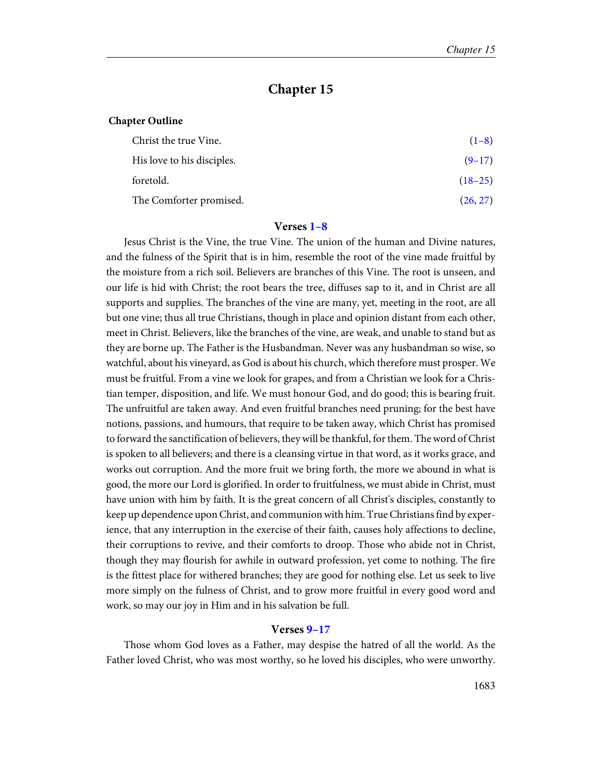#### **Chapter Outline**

| Christ the true Vine.      | $(1-8)$   |
|----------------------------|-----------|
| His love to his disciples. | $(9-17)$  |
| foretold.                  | $(18-25)$ |
| The Comforter promised.    | (26, 27)  |

# **Verses [1–8](http://www.ccel.org/study/Bible:John.15.1-John.15.8)**

Jesus Christ is the Vine, the true Vine. The union of the human and Divine natures, and the fulness of the Spirit that is in him, resemble the root of the vine made fruitful by the moisture from a rich soil. Believers are branches of this Vine. The root is unseen, and our life is hid with Christ; the root bears the tree, diffuses sap to it, and in Christ are all supports and supplies. The branches of the vine are many, yet, meeting in the root, are all but one vine; thus all true Christians, though in place and opinion distant from each other, meet in Christ. Believers, like the branches of the vine, are weak, and unable to stand but as they are borne up. The Father is the Husbandman. Never was any husbandman so wise, so watchful, about his vineyard, as God is about his church, which therefore must prosper. We must be fruitful. From a vine we look for grapes, and from a Christian we look for a Christian temper, disposition, and life. We must honour God, and do good; this is bearing fruit. The unfruitful are taken away. And even fruitful branches need pruning; for the best have notions, passions, and humours, that require to be taken away, which Christ has promised to forward the sanctification of believers, they will be thankful, for them. The word of Christ is spoken to all believers; and there is a cleansing virtue in that word, as it works grace, and works out corruption. And the more fruit we bring forth, the more we abound in what is good, the more our Lord is glorified. In order to fruitfulness, we must abide in Christ, must have union with him by faith. It is the great concern of all Christ's disciples, constantly to keep up dependence upon Christ, and communion with him. True Christians find by experience, that any interruption in the exercise of their faith, causes holy affections to decline, their corruptions to revive, and their comforts to droop. Those who abide not in Christ, though they may flourish for awhile in outward profession, yet come to nothing. The fire is the fittest place for withered branches; they are good for nothing else. Let us seek to live more simply on the fulness of Christ, and to grow more fruitful in every good word and work, so may our joy in Him and in his salvation be full.

## **Verses [9–17](http://www.ccel.org/study/Bible:John.15.9-John.15.17)**

Those whom God loves as a Father, may despise the hatred of all the world. As the Father loved Christ, who was most worthy, so he loved his disciples, who were unworthy.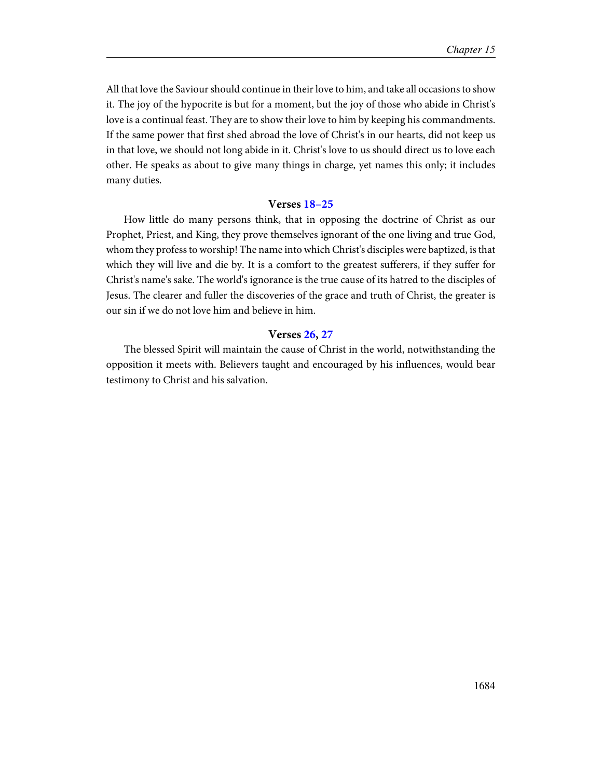All that love the Saviour should continue in their love to him, and take all occasions to show it. The joy of the hypocrite is but for a moment, but the joy of those who abide in Christ's love is a continual feast. They are to show their love to him by keeping his commandments. If the same power that first shed abroad the love of Christ's in our hearts, did not keep us in that love, we should not long abide in it. Christ's love to us should direct us to love each other. He speaks as about to give many things in charge, yet names this only; it includes many duties.

### **Verses [18–25](http://www.ccel.org/study/Bible:John.15.18-John.15.25)**

How little do many persons think, that in opposing the doctrine of Christ as our Prophet, Priest, and King, they prove themselves ignorant of the one living and true God, whom they profess to worship! The name into which Christ's disciples were baptized, is that which they will live and die by. It is a comfort to the greatest sufferers, if they suffer for Christ's name's sake. The world's ignorance is the true cause of its hatred to the disciples of Jesus. The clearer and fuller the discoveries of the grace and truth of Christ, the greater is our sin if we do not love him and believe in him.

### **Verses [26](http://www.ccel.org/study/Bible:John.15.26), [27](http://www.ccel.org/study/Bible:John.15.27)**

The blessed Spirit will maintain the cause of Christ in the world, notwithstanding the opposition it meets with. Believers taught and encouraged by his influences, would bear testimony to Christ and his salvation.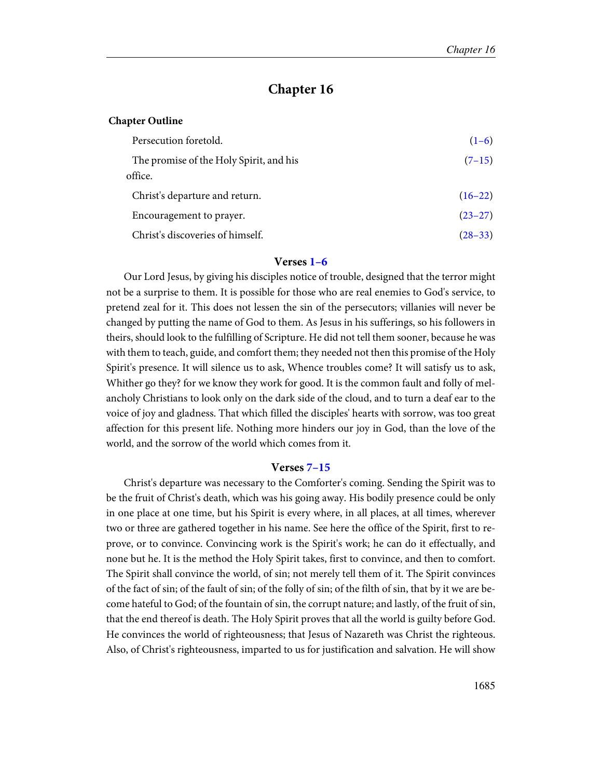#### **Chapter Outline**

| Persecution foretold.                              | $(1-6)$   |
|----------------------------------------------------|-----------|
| The promise of the Holy Spirit, and his<br>office. | $(7-15)$  |
| Christ's departure and return.                     | $(16-22)$ |
| Encouragement to prayer.                           | $(23-27)$ |
| Christ's discoveries of himself.                   | $(28-33)$ |

# **Verses [1–6](http://www.ccel.org/study/Bible:John.16.1-John.16.6)**

Our Lord Jesus, by giving his disciples notice of trouble, designed that the terror might not be a surprise to them. It is possible for those who are real enemies to God's service, to pretend zeal for it. This does not lessen the sin of the persecutors; villanies will never be changed by putting the name of God to them. As Jesus in his sufferings, so his followers in theirs, should look to the fulfilling of Scripture. He did not tell them sooner, because he was with them to teach, guide, and comfort them; they needed not then this promise of the Holy Spirit's presence. It will silence us to ask, Whence troubles come? It will satisfy us to ask, Whither go they? for we know they work for good. It is the common fault and folly of melancholy Christians to look only on the dark side of the cloud, and to turn a deaf ear to the voice of joy and gladness. That which filled the disciples' hearts with sorrow, was too great affection for this present life. Nothing more hinders our joy in God, than the love of the world, and the sorrow of the world which comes from it.

### **Verses [7–15](http://www.ccel.org/study/Bible:John.16.7-John.16.15)**

Christ's departure was necessary to the Comforter's coming. Sending the Spirit was to be the fruit of Christ's death, which was his going away. His bodily presence could be only in one place at one time, but his Spirit is every where, in all places, at all times, wherever two or three are gathered together in his name. See here the office of the Spirit, first to reprove, or to convince. Convincing work is the Spirit's work; he can do it effectually, and none but he. It is the method the Holy Spirit takes, first to convince, and then to comfort. The Spirit shall convince the world, of sin; not merely tell them of it. The Spirit convinces of the fact of sin; of the fault of sin; of the folly of sin; of the filth of sin, that by it we are become hateful to God; of the fountain of sin, the corrupt nature; and lastly, of the fruit of sin, that the end thereof is death. The Holy Spirit proves that all the world is guilty before God. He convinces the world of righteousness; that Jesus of Nazareth was Christ the righteous. Also, of Christ's righteousness, imparted to us for justification and salvation. He will show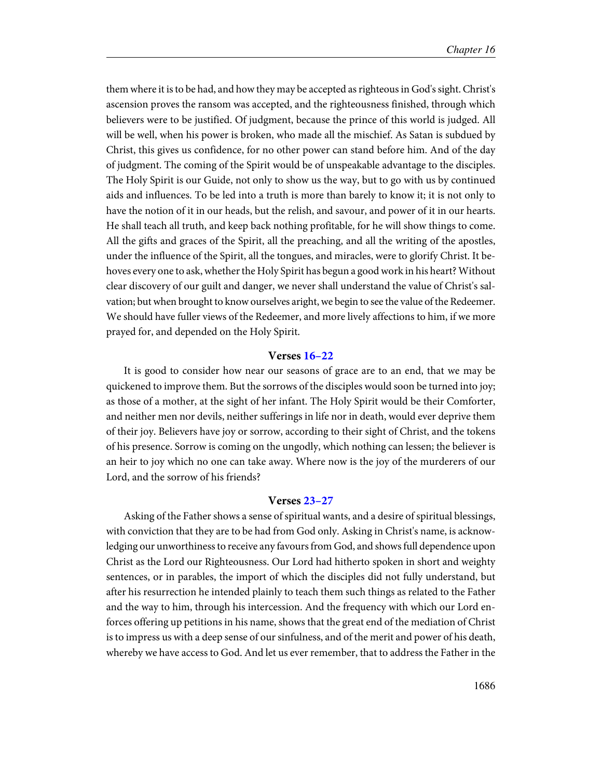them where it is to be had, and how they may be accepted as righteous in God's sight. Christ's ascension proves the ransom was accepted, and the righteousness finished, through which believers were to be justified. Of judgment, because the prince of this world is judged. All will be well, when his power is broken, who made all the mischief. As Satan is subdued by Christ, this gives us confidence, for no other power can stand before him. And of the day of judgment. The coming of the Spirit would be of unspeakable advantage to the disciples. The Holy Spirit is our Guide, not only to show us the way, but to go with us by continued aids and influences. To be led into a truth is more than barely to know it; it is not only to have the notion of it in our heads, but the relish, and savour, and power of it in our hearts. He shall teach all truth, and keep back nothing profitable, for he will show things to come. All the gifts and graces of the Spirit, all the preaching, and all the writing of the apostles, under the influence of the Spirit, all the tongues, and miracles, were to glorify Christ. It behoves every one to ask, whether the Holy Spirit has begun a good work in his heart? Without clear discovery of our guilt and danger, we never shall understand the value of Christ's salvation; but when brought to know ourselves aright, we begin to see the value of the Redeemer. We should have fuller views of the Redeemer, and more lively affections to him, if we more prayed for, and depended on the Holy Spirit.

## **Verses [16–22](http://www.ccel.org/study/Bible:John.16.16-John.16.22)**

It is good to consider how near our seasons of grace are to an end, that we may be quickened to improve them. But the sorrows of the disciples would soon be turned into joy; as those of a mother, at the sight of her infant. The Holy Spirit would be their Comforter, and neither men nor devils, neither sufferings in life nor in death, would ever deprive them of their joy. Believers have joy or sorrow, according to their sight of Christ, and the tokens of his presence. Sorrow is coming on the ungodly, which nothing can lessen; the believer is an heir to joy which no one can take away. Where now is the joy of the murderers of our Lord, and the sorrow of his friends?

# **Verses [23–27](http://www.ccel.org/study/Bible:John.16.23-John.16.27)**

Asking of the Father shows a sense of spiritual wants, and a desire of spiritual blessings, with conviction that they are to be had from God only. Asking in Christ's name, is acknowledging our unworthiness to receive any favours from God, and shows full dependence upon Christ as the Lord our Righteousness. Our Lord had hitherto spoken in short and weighty sentences, or in parables, the import of which the disciples did not fully understand, but after his resurrection he intended plainly to teach them such things as related to the Father and the way to him, through his intercession. And the frequency with which our Lord enforces offering up petitions in his name, shows that the great end of the mediation of Christ is to impress us with a deep sense of our sinfulness, and of the merit and power of his death, whereby we have access to God. And let us ever remember, that to address the Father in the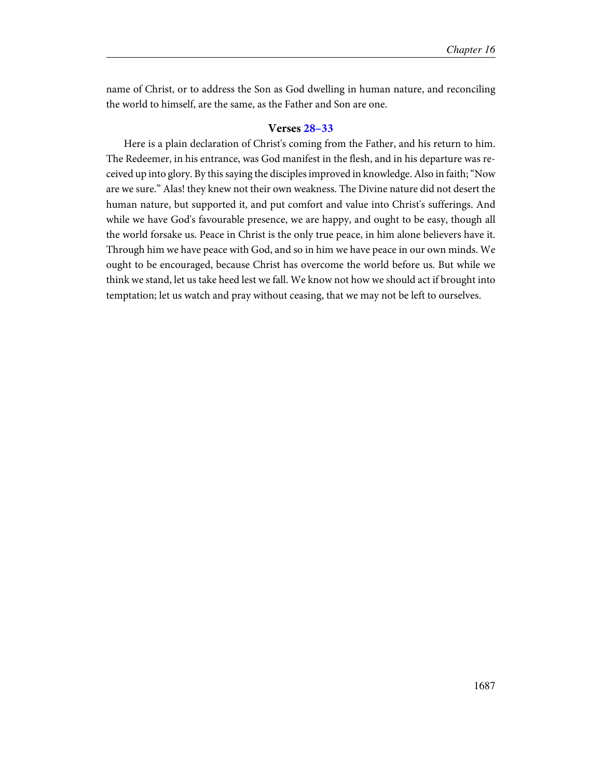name of Christ, or to address the Son as God dwelling in human nature, and reconciling the world to himself, are the same, as the Father and Son are one.

# **Verses [28–33](http://www.ccel.org/study/Bible:John.16.28-John.16.33)**

Here is a plain declaration of Christ's coming from the Father, and his return to him. The Redeemer, in his entrance, was God manifest in the flesh, and in his departure was received up into glory. By this saying the disciples improved in knowledge. Also in faith; "Now are we sure." Alas! they knew not their own weakness. The Divine nature did not desert the human nature, but supported it, and put comfort and value into Christ's sufferings. And while we have God's favourable presence, we are happy, and ought to be easy, though all the world forsake us. Peace in Christ is the only true peace, in him alone believers have it. Through him we have peace with God, and so in him we have peace in our own minds. We ought to be encouraged, because Christ has overcome the world before us. But while we think we stand, let us take heed lest we fall. We know not how we should act if brought into temptation; let us watch and pray without ceasing, that we may not be left to ourselves.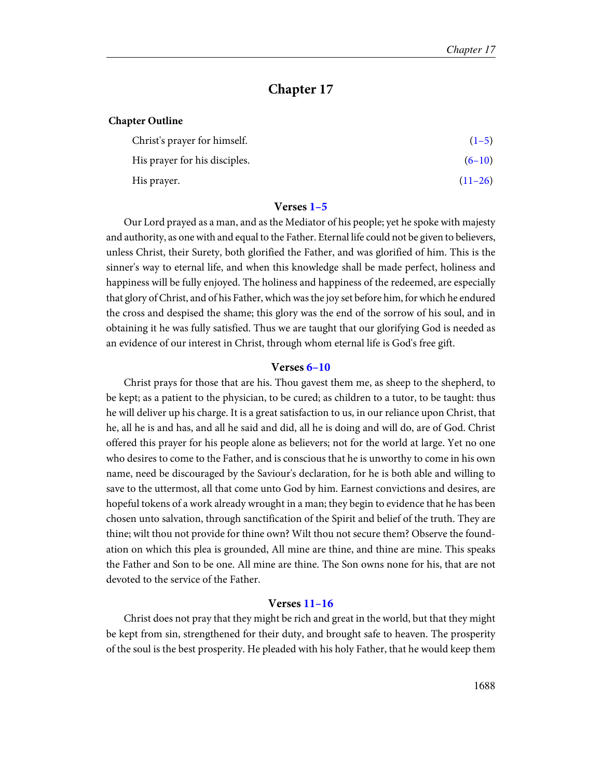#### **Chapter Outline**

| Christ's prayer for himself.  | $(1-5)$   |
|-------------------------------|-----------|
| His prayer for his disciples. | $(6-10)$  |
| His prayer.                   | $(11-26)$ |

### **Verses [1–5](http://www.ccel.org/study/Bible:John.17.1-John.17.5)**

Our Lord prayed as a man, and as the Mediator of his people; yet he spoke with majesty and authority, as one with and equal to the Father. Eternal life could not be given to believers, unless Christ, their Surety, both glorified the Father, and was glorified of him. This is the sinner's way to eternal life, and when this knowledge shall be made perfect, holiness and happiness will be fully enjoyed. The holiness and happiness of the redeemed, are especially that glory of Christ, and of his Father, which was the joy set before him, for which he endured the cross and despised the shame; this glory was the end of the sorrow of his soul, and in obtaining it he was fully satisfied. Thus we are taught that our glorifying God is needed as an evidence of our interest in Christ, through whom eternal life is God's free gift.

## **Verses [6–10](http://www.ccel.org/study/Bible:John.17.6-John.17.10)**

Christ prays for those that are his. Thou gavest them me, as sheep to the shepherd, to be kept; as a patient to the physician, to be cured; as children to a tutor, to be taught: thus he will deliver up his charge. It is a great satisfaction to us, in our reliance upon Christ, that he, all he is and has, and all he said and did, all he is doing and will do, are of God. Christ offered this prayer for his people alone as believers; not for the world at large. Yet no one who desires to come to the Father, and is conscious that he is unworthy to come in his own name, need be discouraged by the Saviour's declaration, for he is both able and willing to save to the uttermost, all that come unto God by him. Earnest convictions and desires, are hopeful tokens of a work already wrought in a man; they begin to evidence that he has been chosen unto salvation, through sanctification of the Spirit and belief of the truth. They are thine; wilt thou not provide for thine own? Wilt thou not secure them? Observe the foundation on which this plea is grounded, All mine are thine, and thine are mine. This speaks the Father and Son to be one. All mine are thine. The Son owns none for his, that are not devoted to the service of the Father.

## **Verses [11–16](http://www.ccel.org/study/Bible:John.17.11-John.17.16)**

Christ does not pray that they might be rich and great in the world, but that they might be kept from sin, strengthened for their duty, and brought safe to heaven. The prosperity of the soul is the best prosperity. He pleaded with his holy Father, that he would keep them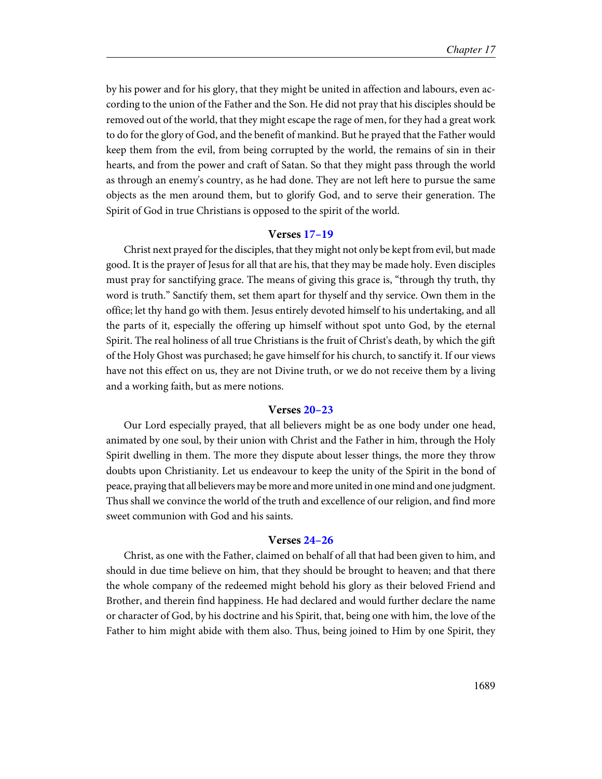by his power and for his glory, that they might be united in affection and labours, even according to the union of the Father and the Son. He did not pray that his disciples should be removed out of the world, that they might escape the rage of men, for they had a great work to do for the glory of God, and the benefit of mankind. But he prayed that the Father would keep them from the evil, from being corrupted by the world, the remains of sin in their hearts, and from the power and craft of Satan. So that they might pass through the world as through an enemy's country, as he had done. They are not left here to pursue the same objects as the men around them, but to glorify God, and to serve their generation. The Spirit of God in true Christians is opposed to the spirit of the world.

# **Verses [17–19](http://www.ccel.org/study/Bible:John.17.17-John.17.19)**

Christ next prayed for the disciples, that they might not only be kept from evil, but made good. It is the prayer of Jesus for all that are his, that they may be made holy. Even disciples must pray for sanctifying grace. The means of giving this grace is, "through thy truth, thy word is truth." Sanctify them, set them apart for thyself and thy service. Own them in the office; let thy hand go with them. Jesus entirely devoted himself to his undertaking, and all the parts of it, especially the offering up himself without spot unto God, by the eternal Spirit. The real holiness of all true Christians is the fruit of Christ's death, by which the gift of the Holy Ghost was purchased; he gave himself for his church, to sanctify it. If our views have not this effect on us, they are not Divine truth, or we do not receive them by a living and a working faith, but as mere notions.

#### **Verses [20–23](http://www.ccel.org/study/Bible:John.17.20-John.17.23)**

Our Lord especially prayed, that all believers might be as one body under one head, animated by one soul, by their union with Christ and the Father in him, through the Holy Spirit dwelling in them. The more they dispute about lesser things, the more they throw doubts upon Christianity. Let us endeavour to keep the unity of the Spirit in the bond of peace, praying that all believers may be more and more united in one mind and one judgment. Thus shall we convince the world of the truth and excellence of our religion, and find more sweet communion with God and his saints.

#### **Verses [24–26](http://www.ccel.org/study/Bible:John.17.24-John.17.26)**

Christ, as one with the Father, claimed on behalf of all that had been given to him, and should in due time believe on him, that they should be brought to heaven; and that there the whole company of the redeemed might behold his glory as their beloved Friend and Brother, and therein find happiness. He had declared and would further declare the name or character of God, by his doctrine and his Spirit, that, being one with him, the love of the Father to him might abide with them also. Thus, being joined to Him by one Spirit, they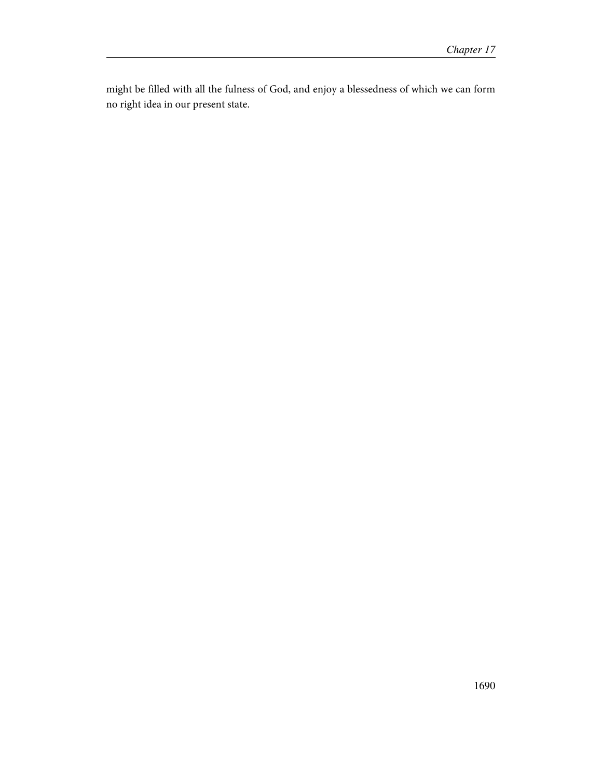might be filled with all the fulness of God, and enjoy a blessedness of which we can form no right idea in our present state.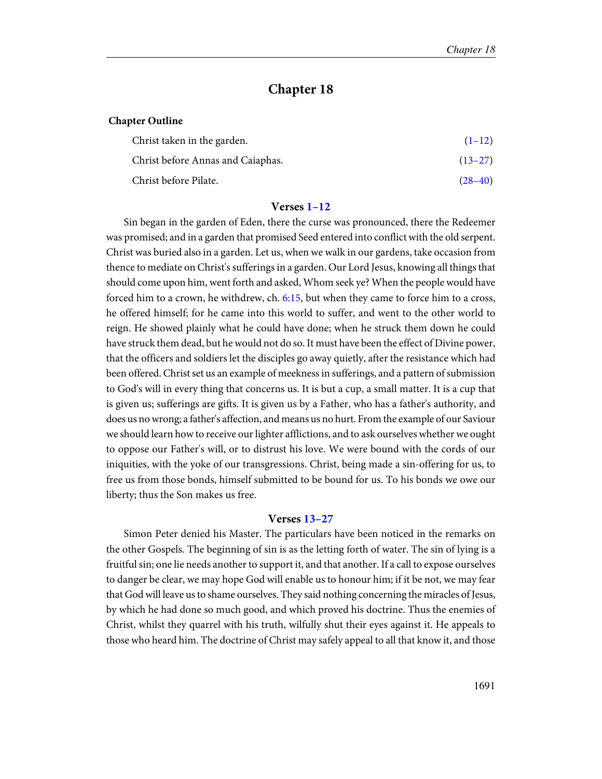#### **Chapter Outline**

| Christ taken in the garden.       | $(1-12)$  |
|-----------------------------------|-----------|
| Christ before Annas and Caiaphas. | $(13-27)$ |
| Christ before Pilate.             | $(28-40)$ |

#### **Verses [1–12](http://www.ccel.org/study/Bible:John.18.1-John.18.12)**

Sin began in the garden of Eden, there the curse was pronounced, there the Redeemer was promised; and in a garden that promised Seed entered into conflict with the old serpent. Christ was buried also in a garden. Let us, when we walk in our gardens, take occasion from thence to mediate on Christ's sufferings in a garden. Our Lord Jesus, knowing all things that should come upon him, went forth and asked, Whom seek ye? When the people would have forced him to a crown, he withdrew, ch. [6:15,](http://www.ccel.org/study/Bible:John.6.15) but when they came to force him to a cross, he offered himself; for he came into this world to suffer, and went to the other world to reign. He showed plainly what he could have done; when he struck them down he could have struck them dead, but he would not do so. It must have been the effect of Divine power, that the officers and soldiers let the disciples go away quietly, after the resistance which had been offered. Christ set us an example of meekness in sufferings, and a pattern of submission to God's will in every thing that concerns us. It is but a cup, a small matter. It is a cup that is given us; sufferings are gifts. It is given us by a Father, who has a father's authority, and does us no wrong; a father's affection, and means us no hurt. From the example of our Saviour we should learn how to receive our lighter afflictions, and to ask ourselves whether we ought to oppose our Father's will, or to distrust his love. We were bound with the cords of our iniquities, with the yoke of our transgressions. Christ, being made a sin-offering for us, to free us from those bonds, himself submitted to be bound for us. To his bonds we owe our liberty; thus the Son makes us free.

#### **Verses [13–27](http://www.ccel.org/study/Bible:John.18.13-John.18.27)**

Simon Peter denied his Master. The particulars have been noticed in the remarks on the other Gospels. The beginning of sin is as the letting forth of water. The sin of lying is a fruitful sin; one lie needs another to support it, and that another. If a call to expose ourselves to danger be clear, we may hope God will enable us to honour him; if it be not, we may fear that God will leave us to shame ourselves. They said nothing concerning the miracles of Jesus, by which he had done so much good, and which proved his doctrine. Thus the enemies of Christ, whilst they quarrel with his truth, wilfully shut their eyes against it. He appeals to those who heard him. The doctrine of Christ may safely appeal to all that know it, and those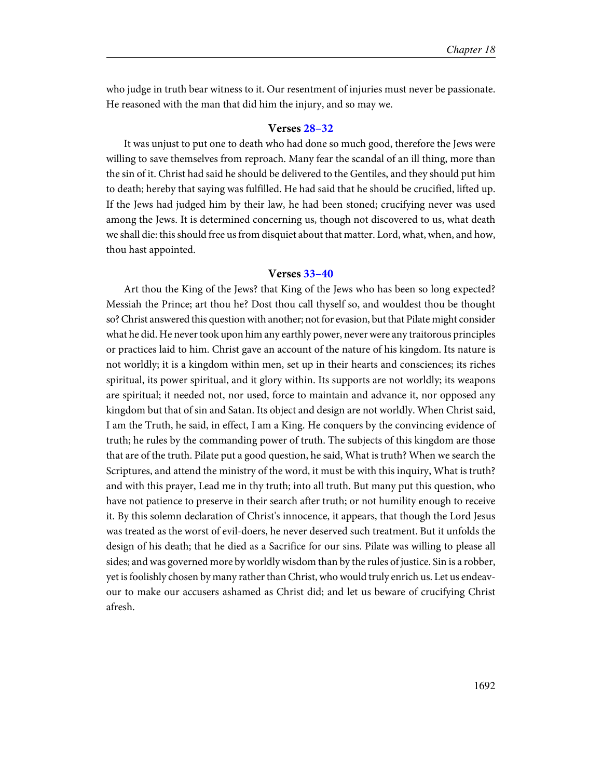who judge in truth bear witness to it. Our resentment of injuries must never be passionate. He reasoned with the man that did him the injury, and so may we.

## **Verses [28–32](http://www.ccel.org/study/Bible:John.18.28-John.18.32)**

It was unjust to put one to death who had done so much good, therefore the Jews were willing to save themselves from reproach. Many fear the scandal of an ill thing, more than the sin of it. Christ had said he should be delivered to the Gentiles, and they should put him to death; hereby that saying was fulfilled. He had said that he should be crucified, lifted up. If the Jews had judged him by their law, he had been stoned; crucifying never was used among the Jews. It is determined concerning us, though not discovered to us, what death we shall die: this should free us from disquiet about that matter. Lord, what, when, and how, thou hast appointed.

# **Verses [33–40](http://www.ccel.org/study/Bible:John.18.33-John.18.40)**

Art thou the King of the Jews? that King of the Jews who has been so long expected? Messiah the Prince; art thou he? Dost thou call thyself so, and wouldest thou be thought so? Christ answered this question with another; not for evasion, but that Pilate might consider what he did. He never took upon him any earthly power, never were any traitorous principles or practices laid to him. Christ gave an account of the nature of his kingdom. Its nature is not worldly; it is a kingdom within men, set up in their hearts and consciences; its riches spiritual, its power spiritual, and it glory within. Its supports are not worldly; its weapons are spiritual; it needed not, nor used, force to maintain and advance it, nor opposed any kingdom but that of sin and Satan. Its object and design are not worldly. When Christ said, I am the Truth, he said, in effect, I am a King. He conquers by the convincing evidence of truth; he rules by the commanding power of truth. The subjects of this kingdom are those that are of the truth. Pilate put a good question, he said, What is truth? When we search the Scriptures, and attend the ministry of the word, it must be with this inquiry, What is truth? and with this prayer, Lead me in thy truth; into all truth. But many put this question, who have not patience to preserve in their search after truth; or not humility enough to receive it. By this solemn declaration of Christ's innocence, it appears, that though the Lord Jesus was treated as the worst of evil-doers, he never deserved such treatment. But it unfolds the design of his death; that he died as a Sacrifice for our sins. Pilate was willing to please all sides; and was governed more by worldly wisdom than by the rules of justice. Sin is a robber, yet is foolishly chosen by many rather than Christ, who would truly enrich us. Let us endeavour to make our accusers ashamed as Christ did; and let us beware of crucifying Christ afresh.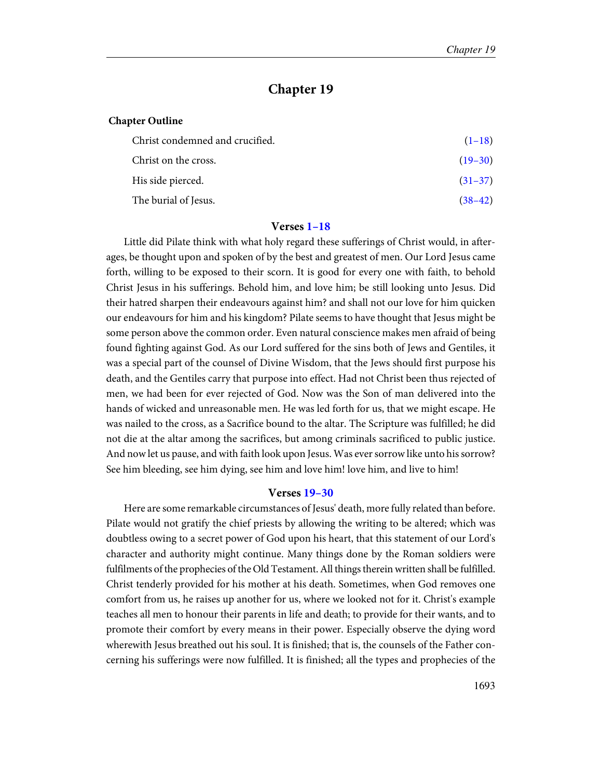#### **Chapter Outline**

| Christ condemned and crucified. | $(1-18)$    |
|---------------------------------|-------------|
| Christ on the cross.            | $(19-30)$   |
| His side pierced.               | $(31 - 37)$ |
| The burial of Jesus.            | $(38-42)$   |

# **Verses [1–18](http://www.ccel.org/study/Bible:John.19.1-John.19.18)**

Little did Pilate think with what holy regard these sufferings of Christ would, in afterages, be thought upon and spoken of by the best and greatest of men. Our Lord Jesus came forth, willing to be exposed to their scorn. It is good for every one with faith, to behold Christ Jesus in his sufferings. Behold him, and love him; be still looking unto Jesus. Did their hatred sharpen their endeavours against him? and shall not our love for him quicken our endeavours for him and his kingdom? Pilate seems to have thought that Jesus might be some person above the common order. Even natural conscience makes men afraid of being found fighting against God. As our Lord suffered for the sins both of Jews and Gentiles, it was a special part of the counsel of Divine Wisdom, that the Jews should first purpose his death, and the Gentiles carry that purpose into effect. Had not Christ been thus rejected of men, we had been for ever rejected of God. Now was the Son of man delivered into the hands of wicked and unreasonable men. He was led forth for us, that we might escape. He was nailed to the cross, as a Sacrifice bound to the altar. The Scripture was fulfilled; he did not die at the altar among the sacrifices, but among criminals sacrificed to public justice. And now let us pause, and with faith look upon Jesus. Was ever sorrow like unto his sorrow? See him bleeding, see him dying, see him and love him! love him, and live to him!

#### **Verses [19–30](http://www.ccel.org/study/Bible:John.19.19-John.19.30)**

Here are some remarkable circumstances of Jesus' death, more fully related than before. Pilate would not gratify the chief priests by allowing the writing to be altered; which was doubtless owing to a secret power of God upon his heart, that this statement of our Lord's character and authority might continue. Many things done by the Roman soldiers were fulfilments of the prophecies of the Old Testament. All things therein written shall be fulfilled. Christ tenderly provided for his mother at his death. Sometimes, when God removes one comfort from us, he raises up another for us, where we looked not for it. Christ's example teaches all men to honour their parents in life and death; to provide for their wants, and to promote their comfort by every means in their power. Especially observe the dying word wherewith Jesus breathed out his soul. It is finished; that is, the counsels of the Father concerning his sufferings were now fulfilled. It is finished; all the types and prophecies of the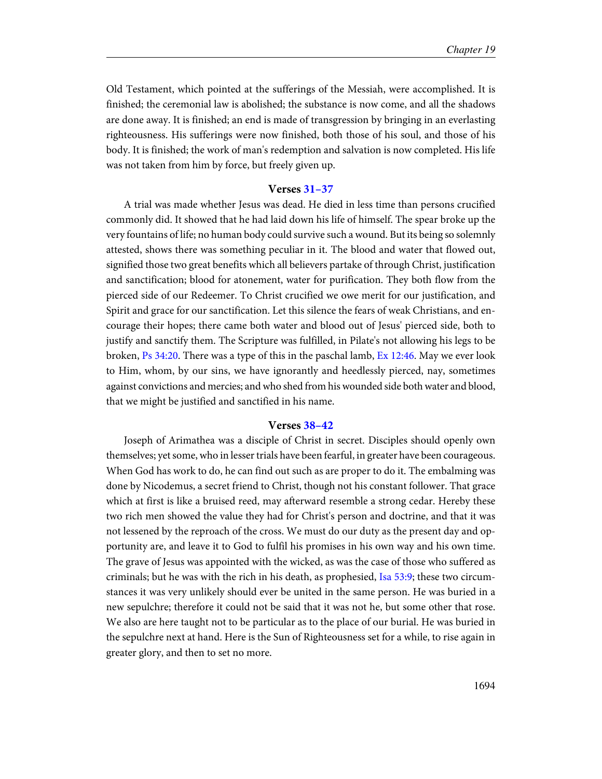Old Testament, which pointed at the sufferings of the Messiah, were accomplished. It is finished; the ceremonial law is abolished; the substance is now come, and all the shadows are done away. It is finished; an end is made of transgression by bringing in an everlasting righteousness. His sufferings were now finished, both those of his soul, and those of his body. It is finished; the work of man's redemption and salvation is now completed. His life was not taken from him by force, but freely given up.

## **Verses [31–37](http://www.ccel.org/study/Bible:John.19.31-John.19.37)**

A trial was made whether Jesus was dead. He died in less time than persons crucified commonly did. It showed that he had laid down his life of himself. The spear broke up the very fountains of life; no human body could survive such a wound. But its being so solemnly attested, shows there was something peculiar in it. The blood and water that flowed out, signified those two great benefits which all believers partake of through Christ, justification and sanctification; blood for atonement, water for purification. They both flow from the pierced side of our Redeemer. To Christ crucified we owe merit for our justification, and Spirit and grace for our sanctification. Let this silence the fears of weak Christians, and encourage their hopes; there came both water and blood out of Jesus' pierced side, both to justify and sanctify them. The Scripture was fulfilled, in Pilate's not allowing his legs to be broken, [Ps 34:20.](http://www.ccel.org/study/Bible:Ps.34.20) There was a type of this in the paschal lamb,  $Ex$  12:46. May we ever look to Him, whom, by our sins, we have ignorantly and heedlessly pierced, nay, sometimes against convictions and mercies; and who shed from his wounded side both water and blood, that we might be justified and sanctified in his name.

#### **Verses [38–42](http://www.ccel.org/study/Bible:John.19.38-John.19.42)**

Joseph of Arimathea was a disciple of Christ in secret. Disciples should openly own themselves; yet some, who in lesser trials have been fearful, in greater have been courageous. When God has work to do, he can find out such as are proper to do it. The embalming was done by Nicodemus, a secret friend to Christ, though not his constant follower. That grace which at first is like a bruised reed, may afterward resemble a strong cedar. Hereby these two rich men showed the value they had for Christ's person and doctrine, and that it was not lessened by the reproach of the cross. We must do our duty as the present day and opportunity are, and leave it to God to fulfil his promises in his own way and his own time. The grave of Jesus was appointed with the wicked, as was the case of those who suffered as criminals; but he was with the rich in his death, as prophesied, [Isa 53:9](http://www.ccel.org/study/Bible:Isa.53.9); these two circumstances it was very unlikely should ever be united in the same person. He was buried in a new sepulchre; therefore it could not be said that it was not he, but some other that rose. We also are here taught not to be particular as to the place of our burial. He was buried in the sepulchre next at hand. Here is the Sun of Righteousness set for a while, to rise again in greater glory, and then to set no more.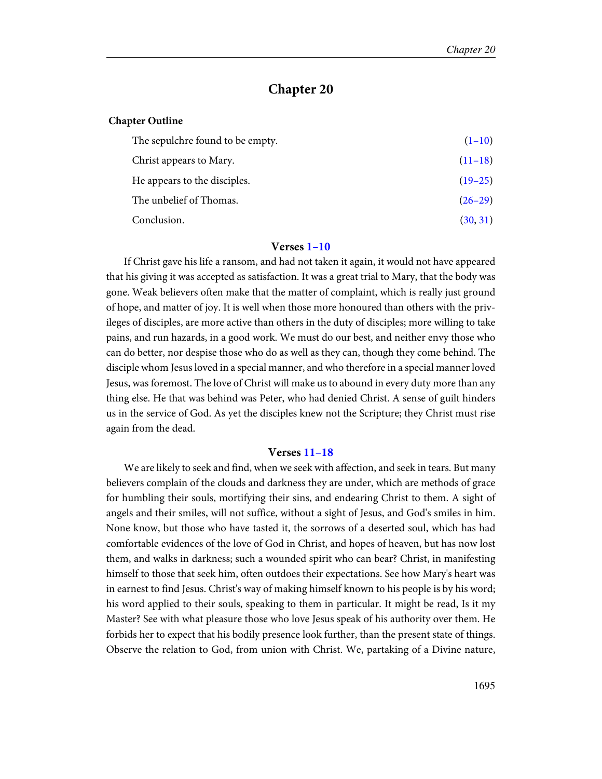#### **Chapter Outline**

| The sepulchre found to be empty. | $(1-10)$  |
|----------------------------------|-----------|
| Christ appears to Mary.          | $(11-18)$ |
| He appears to the disciples.     | $(19-25)$ |
| The unbelief of Thomas.          | $(26-29)$ |
| Conclusion.                      | (30, 31)  |

### **Verses [1–10](http://www.ccel.org/study/Bible:John.20.1-John.20.10)**

If Christ gave his life a ransom, and had not taken it again, it would not have appeared that his giving it was accepted as satisfaction. It was a great trial to Mary, that the body was gone. Weak believers often make that the matter of complaint, which is really just ground of hope, and matter of joy. It is well when those more honoured than others with the privileges of disciples, are more active than others in the duty of disciples; more willing to take pains, and run hazards, in a good work. We must do our best, and neither envy those who can do better, nor despise those who do as well as they can, though they come behind. The disciple whom Jesus loved in a special manner, and who therefore in a special manner loved Jesus, was foremost. The love of Christ will make us to abound in every duty more than any thing else. He that was behind was Peter, who had denied Christ. A sense of guilt hinders us in the service of God. As yet the disciples knew not the Scripture; they Christ must rise again from the dead.

#### **Verses [11–18](http://www.ccel.org/study/Bible:John.20.11-John.20.18)**

We are likely to seek and find, when we seek with affection, and seek in tears. But many believers complain of the clouds and darkness they are under, which are methods of grace for humbling their souls, mortifying their sins, and endearing Christ to them. A sight of angels and their smiles, will not suffice, without a sight of Jesus, and God's smiles in him. None know, but those who have tasted it, the sorrows of a deserted soul, which has had comfortable evidences of the love of God in Christ, and hopes of heaven, but has now lost them, and walks in darkness; such a wounded spirit who can bear? Christ, in manifesting himself to those that seek him, often outdoes their expectations. See how Mary's heart was in earnest to find Jesus. Christ's way of making himself known to his people is by his word; his word applied to their souls, speaking to them in particular. It might be read, Is it my Master? See with what pleasure those who love Jesus speak of his authority over them. He forbids her to expect that his bodily presence look further, than the present state of things. Observe the relation to God, from union with Christ. We, partaking of a Divine nature,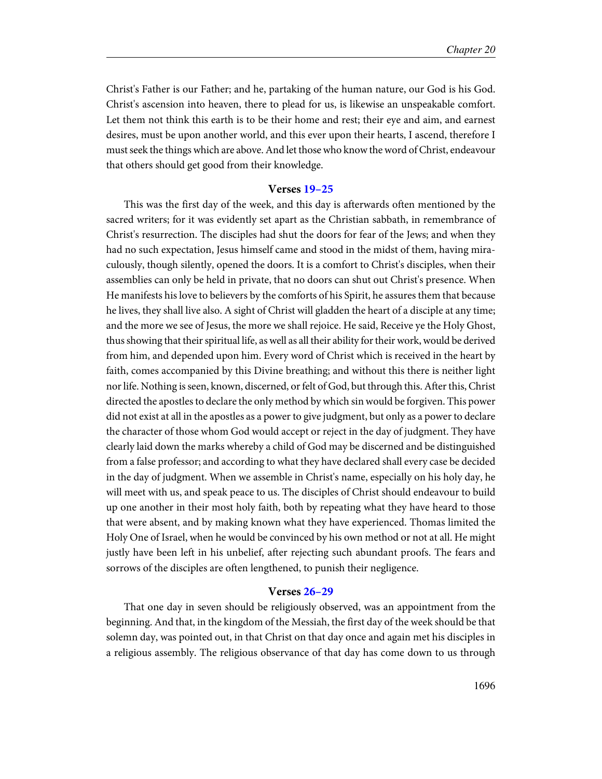Christ's Father is our Father; and he, partaking of the human nature, our God is his God. Christ's ascension into heaven, there to plead for us, is likewise an unspeakable comfort. Let them not think this earth is to be their home and rest; their eye and aim, and earnest desires, must be upon another world, and this ever upon their hearts, I ascend, therefore I must seek the things which are above. And let those who know the word of Christ, endeavour that others should get good from their knowledge.

## **Verses [19–25](http://www.ccel.org/study/Bible:John.20.19-John.20.25)**

This was the first day of the week, and this day is afterwards often mentioned by the sacred writers; for it was evidently set apart as the Christian sabbath, in remembrance of Christ's resurrection. The disciples had shut the doors for fear of the Jews; and when they had no such expectation, Jesus himself came and stood in the midst of them, having miraculously, though silently, opened the doors. It is a comfort to Christ's disciples, when their assemblies can only be held in private, that no doors can shut out Christ's presence. When He manifests his love to believers by the comforts of his Spirit, he assures them that because he lives, they shall live also. A sight of Christ will gladden the heart of a disciple at any time; and the more we see of Jesus, the more we shall rejoice. He said, Receive ye the Holy Ghost, thus showing that their spiritual life, as well as all their ability for their work, would be derived from him, and depended upon him. Every word of Christ which is received in the heart by faith, comes accompanied by this Divine breathing; and without this there is neither light nor life. Nothing is seen, known, discerned, or felt of God, but through this. After this, Christ directed the apostles to declare the only method by which sin would be forgiven. This power did not exist at all in the apostles as a power to give judgment, but only as a power to declare the character of those whom God would accept or reject in the day of judgment. They have clearly laid down the marks whereby a child of God may be discerned and be distinguished from a false professor; and according to what they have declared shall every case be decided in the day of judgment. When we assemble in Christ's name, especially on his holy day, he will meet with us, and speak peace to us. The disciples of Christ should endeavour to build up one another in their most holy faith, both by repeating what they have heard to those that were absent, and by making known what they have experienced. Thomas limited the Holy One of Israel, when he would be convinced by his own method or not at all. He might justly have been left in his unbelief, after rejecting such abundant proofs. The fears and sorrows of the disciples are often lengthened, to punish their negligence.

#### **Verses [26–29](http://www.ccel.org/study/Bible:John.20.26-John.20.29)**

That one day in seven should be religiously observed, was an appointment from the beginning. And that, in the kingdom of the Messiah, the first day of the week should be that solemn day, was pointed out, in that Christ on that day once and again met his disciples in a religious assembly. The religious observance of that day has come down to us through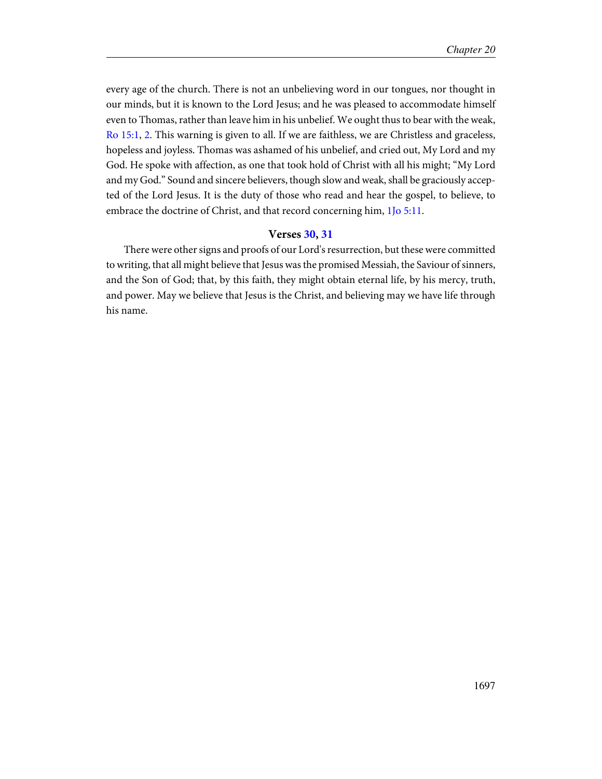every age of the church. There is not an unbelieving word in our tongues, nor thought in our minds, but it is known to the Lord Jesus; and he was pleased to accommodate himself even to Thomas, rather than leave him in his unbelief. We ought thus to bear with the weak, [Ro 15:1,](http://www.ccel.org/study/Bible:Rom.15.1) [2](http://www.ccel.org/study/Bible:Rom.15.2). This warning is given to all. If we are faithless, we are Christless and graceless, hopeless and joyless. Thomas was ashamed of his unbelief, and cried out, My Lord and my God. He spoke with affection, as one that took hold of Christ with all his might; "My Lord and my God." Sound and sincere believers, though slow and weak, shall be graciously accepted of the Lord Jesus. It is the duty of those who read and hear the gospel, to believe, to embrace the doctrine of Christ, and that record concerning him, [1Jo 5:11](http://www.ccel.org/study/Bible:1John.5.11).

# **Verses [30](http://www.ccel.org/study/Bible:John.20.30), [31](http://www.ccel.org/study/Bible:John.20.31)**

There were other signs and proofs of our Lord's resurrection, but these were committed to writing, that all might believe that Jesus was the promised Messiah, the Saviour of sinners, and the Son of God; that, by this faith, they might obtain eternal life, by his mercy, truth, and power. May we believe that Jesus is the Christ, and believing may we have life through his name.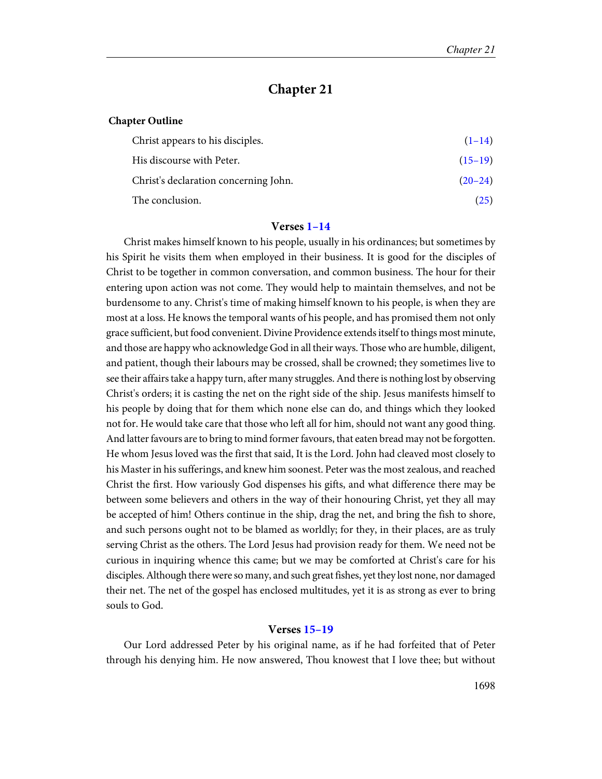### **Chapter Outline**

| Christ appears to his disciples.      | $(1-14)$  |
|---------------------------------------|-----------|
| His discourse with Peter.             | $(15-19)$ |
| Christ's declaration concerning John. | $(20-24)$ |
| The conclusion.                       | (25)      |

# **Verses [1–14](http://www.ccel.org/study/Bible:John.21.1-John.21.14)**

Christ makes himself known to his people, usually in his ordinances; but sometimes by his Spirit he visits them when employed in their business. It is good for the disciples of Christ to be together in common conversation, and common business. The hour for their entering upon action was not come. They would help to maintain themselves, and not be burdensome to any. Christ's time of making himself known to his people, is when they are most at a loss. He knows the temporal wants of his people, and has promised them not only grace sufficient, but food convenient. Divine Providence extends itself to things most minute, and those are happy who acknowledge God in all their ways. Those who are humble, diligent, and patient, though their labours may be crossed, shall be crowned; they sometimes live to see their affairs take a happy turn, after many struggles. And there is nothing lost by observing Christ's orders; it is casting the net on the right side of the ship. Jesus manifests himself to his people by doing that for them which none else can do, and things which they looked not for. He would take care that those who left all for him, should not want any good thing. And latter favours are to bring to mind former favours, that eaten bread may not be forgotten. He whom Jesus loved was the first that said, It is the Lord. John had cleaved most closely to his Master in his sufferings, and knew him soonest. Peter was the most zealous, and reached Christ the first. How variously God dispenses his gifts, and what difference there may be between some believers and others in the way of their honouring Christ, yet they all may be accepted of him! Others continue in the ship, drag the net, and bring the fish to shore, and such persons ought not to be blamed as worldly; for they, in their places, are as truly serving Christ as the others. The Lord Jesus had provision ready for them. We need not be curious in inquiring whence this came; but we may be comforted at Christ's care for his disciples. Although there were so many, and such great fishes, yet they lost none, nor damaged their net. The net of the gospel has enclosed multitudes, yet it is as strong as ever to bring souls to God.

## **Verses [15–19](http://www.ccel.org/study/Bible:John.21.15-John.21.19)**

Our Lord addressed Peter by his original name, as if he had forfeited that of Peter through his denying him. He now answered, Thou knowest that I love thee; but without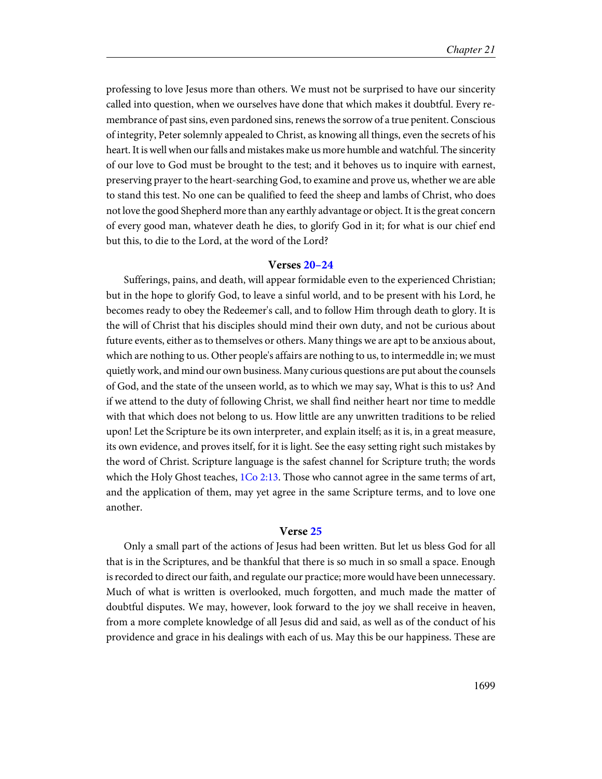professing to love Jesus more than others. We must not be surprised to have our sincerity called into question, when we ourselves have done that which makes it doubtful. Every remembrance of past sins, even pardoned sins, renews the sorrow of a true penitent. Conscious of integrity, Peter solemnly appealed to Christ, as knowing all things, even the secrets of his heart. It is well when our falls and mistakes make us more humble and watchful. The sincerity of our love to God must be brought to the test; and it behoves us to inquire with earnest, preserving prayer to the heart-searching God, to examine and prove us, whether we are able to stand this test. No one can be qualified to feed the sheep and lambs of Christ, who does not love the good Shepherd more than any earthly advantage or object. It is the great concern of every good man, whatever death he dies, to glorify God in it; for what is our chief end but this, to die to the Lord, at the word of the Lord?

### **Verses [20–24](http://www.ccel.org/study/Bible:John.21.20-John.21.24)**

Sufferings, pains, and death, will appear formidable even to the experienced Christian; but in the hope to glorify God, to leave a sinful world, and to be present with his Lord, he becomes ready to obey the Redeemer's call, and to follow Him through death to glory. It is the will of Christ that his disciples should mind their own duty, and not be curious about future events, either as to themselves or others. Many things we are apt to be anxious about, which are nothing to us. Other people's affairs are nothing to us, to intermeddle in; we must quietly work, and mind our own business. Many curious questions are put about the counsels of God, and the state of the unseen world, as to which we may say, What is this to us? And if we attend to the duty of following Christ, we shall find neither heart nor time to meddle with that which does not belong to us. How little are any unwritten traditions to be relied upon! Let the Scripture be its own interpreter, and explain itself; as it is, in a great measure, its own evidence, and proves itself, for it is light. See the easy setting right such mistakes by the word of Christ. Scripture language is the safest channel for Scripture truth; the words which the Holy Ghost teaches, [1Co 2:13](http://www.ccel.org/study/Bible:1Cor.2.13). Those who cannot agree in the same terms of art, and the application of them, may yet agree in the same Scripture terms, and to love one another.

## **Verse [25](http://www.ccel.org/study/Bible:John.21.25)**

Only a small part of the actions of Jesus had been written. But let us bless God for all that is in the Scriptures, and be thankful that there is so much in so small a space. Enough is recorded to direct our faith, and regulate our practice; more would have been unnecessary. Much of what is written is overlooked, much forgotten, and much made the matter of doubtful disputes. We may, however, look forward to the joy we shall receive in heaven, from a more complete knowledge of all Jesus did and said, as well as of the conduct of his providence and grace in his dealings with each of us. May this be our happiness. These are